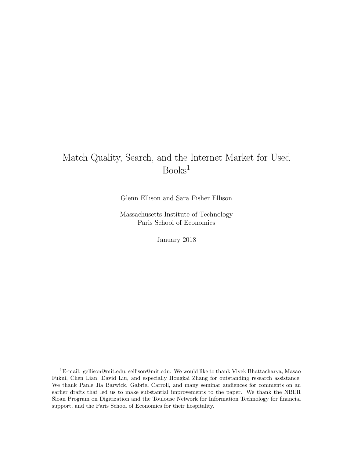# Match Quality, Search, and the Internet Market for Used Books<sup>1</sup>

Glenn Ellison and Sara Fisher Ellison

Massachusetts Institute of Technology Paris School of Economics

January 2018

<sup>1</sup>E-mail: gellison@mit.edu, sellison@mit.edu. We would like to thank Vivek Bhattacharya, Masao Fukui, Chen Lian, David Liu, and especially Hongkai Zhang for outstanding research assistance. We thank Panle Jia Barwick, Gabriel Carroll, and many seminar audiences for comments on an earlier drafts that led us to make substantial improvements to the paper. We thank the NBER Sloan Program on Digitization and the Toulouse Network for Information Technology for financial support, and the Paris School of Economics for their hospitality.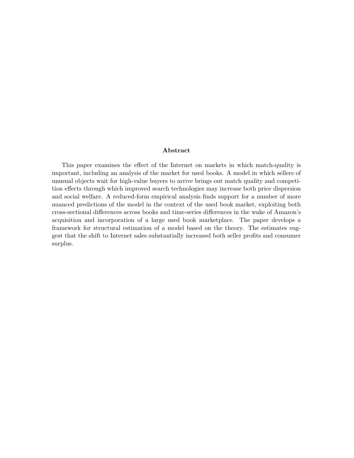#### Abstract

This paper examines the effect of the Internet on markets in which match-quality is important, including an analysis of the market for used books. A model in which sellers of unusual objects wait for high-value buyers to arrive brings out match quality and competition effects through which improved search technologies may increase both price dispersion and social welfare. A reduced-form empirical analysis finds support for a number of more nuanced predictions of the model in the context of the used book market, exploiting both cross-sectional differences across books and time-series differences in the wake of Amazon's acquisition and incorporation of a large used book marketplace. The paper develops a framework for structural estimation of a model based on the theory. The estimates suggest that the shift to Internet sales substantially increased both seller profits and consumer surplus.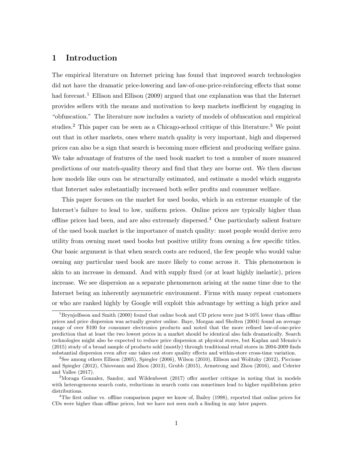# 1 Introduction

The empirical literature on Internet pricing has found that improved search technologies did not have the dramatic price-lowering and law-of-one-price-reinforcing effects that some had forecast.<sup>1</sup> Ellison and Ellison (2009) argued that one explanation was that the Internet provides sellers with the means and motivation to keep markets inefficient by engaging in "obfuscation." The literature now includes a variety of models of obfuscation and empirical studies.<sup>2</sup> This paper can be seen as a Chicago-school critique of this literature.<sup>3</sup> We point out that in other markets, ones where match quality is very important, high and dispersed prices can also be a sign that search is becoming more efficient and producing welfare gains. We take advantage of features of the used book market to test a number of more nuanced predictions of our match-quality theory and find that they are borne out. We then discuss how models like ours can be structurally estimated, and estimate a model which suggests that Internet sales substantially increased both seller profits and consumer welfare.

This paper focuses on the market for used books, which is an extreme example of the Internet's failure to lead to low, uniform prices. Online prices are typically higher than offline prices had been, and are also extremely dispersed.<sup>4</sup> One particularly salient feature of the used book market is the importance of match quality: most people would derive zero utility from owning most used books but positive utility from owning a few specific titles. Our basic argument is that when search costs are reduced, the few people who would value owning any particular used book are more likely to come across it. This phenomenon is akin to an increase in demand. And with supply fixed (or at least highly inelastic), prices increase. We see dispersion as a separate phenomenon arising at the same time due to the Internet being an inherently asymmetric environment. Firms with many repeat customers or who are ranked highly by Google will exploit this advantage by setting a high price and

<sup>&</sup>lt;sup>1</sup>Brynjolfsson and Smith (2000) found that online book and CD prices were just 9-16% lower than offline prices and price dispersion was actually greater online. Baye, Morgan and Sholten (2004) found an average range of over \$100 for consumer electronics products and noted that the more refined law-of-one-price prediction that at least the two lowest prices in a market should be identical also fails dramatically. Search technologies might also be expected to reduce price dispersion at physical stores, but Kaplan and Menzio's (2015) study of a broad sample of products sold (mostly) through traditional retail stores in 2004-2009 finds substantial dispersion even after one takes out store quality effects and within-store cross-time variation.

 $2$ See among others Ellison (2005), Spiegler (2006), Wilson (2010), Ellison and Wolitzky (2012), Piccione and Spiegler (2012), Chioveanu and Zhou (2013), Grubb (2015), Armstrong and Zhou (2016), and Celerier and Vallee (2017).

<sup>3</sup>Moraga Gonzalez, Sandor, and Wildenbeest (2017) offer another critique in noting that in models with heterogeneous search costs, reductions in search costs can sometimes lead to higher equilibrium price distributions.

<sup>&</sup>lt;sup>4</sup>The first online vs. offline comparison paper we know of, Bailey (1998), reported that online prices for CDs were higher than offline prices, but we have not seen such a finding in any later papers.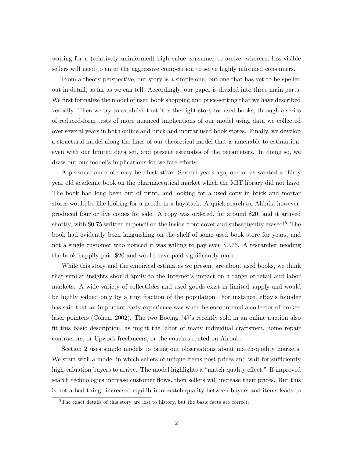waiting for a (relatively uninformed) high value consumer to arrive; whereas, less-visible sellers will need to enter the aggressive competition to serve highly informed consumers.

From a theory perspective, our story is a simple one, but one that has yet to be spelled out in detail, as far as we can tell. Accordingly, our paper is divided into three main parts. We first formalize the model of used book shopping and price-setting that we have described verbally. Then we try to establish that it is the right story for used books, through a series of reduced-form tests of more nuanced implications of our model using data we collected over several years in both online and brick and mortar used book stores. Finally, we develop a structural model along the lines of our theoretical model that is amenable to estimation, even with our limited data set, and present estimates of the parameters. In doing so, we draw out our model's implications for welfare effects.

A personal anecdote may be illustrative. Several years ago, one of us wanted a thirty year old academic book on the pharmaceutical market which the MIT library did not have. The book had long been out of print, and looking for a used copy in brick and mortar stores would be like looking for a needle in a haystack. A quick search on Alibris, however, produced four or five copies for sale. A copy was ordered, for around \$20, and it arrived shortly, with \$0.75 written in pencil on the inside front cover and subsequently erased!<sup>5</sup> The book had evidently been languishing on the shelf of some used book store for years, and not a single customer who noticed it was willing to pay even \$0.75. A researcher needing the book happily paid \$20 and would have paid significantly more.

While this story and the empirical estimates we present are about used books, we think that similar insights should apply to the Internet's impact on a range of retail and labor markets. A wide variety of collectibles and used goods exist in limited supply and would be highly valued only by a tiny fraction of the population. For instance, eBay's founder has said that an important early experience was when he encountered a collector of broken laser pointers (Cohen, 2002). The two Boeing 747's recently sold in an online auction also fit this basic description, as might the labor of many individual craftsmen, home repair contractors, or Upwork freelancers, or the couches rented on Airbnb.

Section 2 uses simple models to bring out observations about match-quality markets. We start with a model in which sellers of unique items post prices and wait for sufficiently high-valuation buyers to arrive. The model highlights a "match-quality effect." If improved search technologies increase customer flows, then sellers will increase their prices. But this is not a bad thing: increased equilibrium match quality between buyers and items leads to

<sup>&</sup>lt;sup>5</sup>The exact details of this story are lost to history, but the basic facts are correct.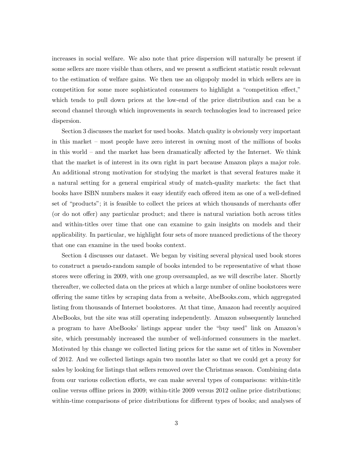increases in social welfare. We also note that price dispersion will naturally be present if some sellers are more visible than others, and we present a sufficient statistic result relevant to the estimation of welfare gains. We then use an oligopoly model in which sellers are in competition for some more sophisticated consumers to highlight a "competition effect," which tends to pull down prices at the low-end of the price distribution and can be a second channel through which improvements in search technologies lead to increased price dispersion.

Section 3 discusses the market for used books. Match quality is obviously very important in this market – most people have zero interest in owning most of the millions of books in this world – and the market has been dramatically affected by the Internet. We think that the market is of interest in its own right in part because Amazon plays a major role. An additional strong motivation for studying the market is that several features make it a natural setting for a general empirical study of match-quality markets: the fact that books have ISBN numbers makes it easy identify each offered item as one of a well-defined set of "products"; it is feasible to collect the prices at which thousands of merchants offer (or do not offer) any particular product; and there is natural variation both across titles and within-titles over time that one can examine to gain insights on models and their applicability. In particular, we highlight four sets of more nuanced predictions of the theory that one can examine in the used books context.

Section 4 discusses our dataset. We began by visiting several physical used book stores to construct a pseudo-random sample of books intended to be representative of what those stores were offering in 2009, with one group oversampled, as we will describe later. Shortly thereafter, we collected data on the prices at which a large number of online bookstores were offering the same titles by scraping data from a website, AbeBooks.com, which aggregated listing from thousands of Internet bookstores. At that time, Amazon had recently acquired AbeBooks, but the site was still operating independently. Amazon subsequently launched a program to have AbeBooks' listings appear under the "buy used" link on Amazon's site, which presumably increased the number of well-informed consumers in the market. Motivated by this change we collected listing prices for the same set of titles in November of 2012. And we collected listings again two months later so that we could get a proxy for sales by looking for listings that sellers removed over the Christmas season. Combining data from our various collection efforts, we can make several types of comparisons: within-title online versus offline prices in 2009; within-title 2009 versus 2012 online price distributions; within-time comparisons of price distributions for different types of books; and analyses of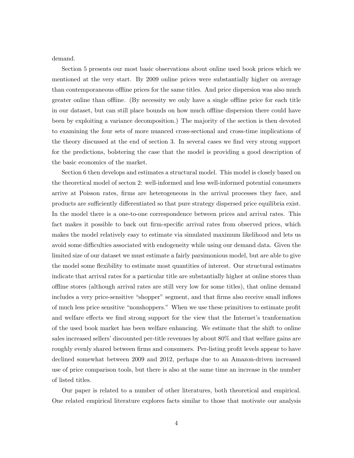demand.

Section 5 presents our most basic observations about online used book prices which we mentioned at the very start. By 2009 online prices were substantially higher on average than contemporaneous offline prices for the same titles. And price dispersion was also much greater online than offline. (By necessity we only have a single offline price for each title in our dataset, but can still place bounds on how much offline dispersion there could have been by exploiting a variance decomposition.) The majority of the section is then devoted to examining the four sets of more nuanced cross-sectional and cross-time implications of the theory discussed at the end of section 3. In several cases we find very strong support for the predictions, bolstering the case that the model is providing a good description of the basic economics of the market.

Section 6 then develops and estimates a structural model. This model is closely based on the theoretical model of secton 2: well-informed and less well-informed potential consumers arrive at Poisson rates, firms are heterogeneous in the arrival processes they face, and products are sufficiently differentiated so that pure strategy dispersed price equilibria exist. In the model there is a one-to-one correspondence between prices and arrival rates. This fact makes it possible to back out firm-specific arrival rates from observed prices, which makes the model relatively easy to estimate via simulated maximum likelihood and lets us avoid some difficulties associated with endogeneity while using our demand data. Given the limited size of our dataset we must estimate a fairly parsimonious model, but are able to give the model some flexibility to estimate most quantities of interest. Our structural estimates indicate that arrival rates for a particular title are substantially higher at online stores than offline stores (although arrival rates are still very low for some titles), that online demand includes a very price-sensitive "shopper" segment, and that firms also receive small inflows of much less price sensitive "nonshoppers." When we use these primitives to estimate profit and welfare effects we find strong support for the view that the Internet's tranformation of the used book market has been welfare enhancing. We estimate that the shift to online sales increased sellers' discounted per-title revenues by about 80% and that welfare gains are roughly evenly shared between firms and consumers. Per-listing profit levels appear to have declined somewhat between 2009 and 2012, perhaps due to an Amazon-driven increased use of price comparison tools, but there is also at the same time an increase in the number of listed titles.

Our paper is related to a number of other literatures, both theoretical and empirical. One related empirical literature explores facts similar to those that motivate our analysis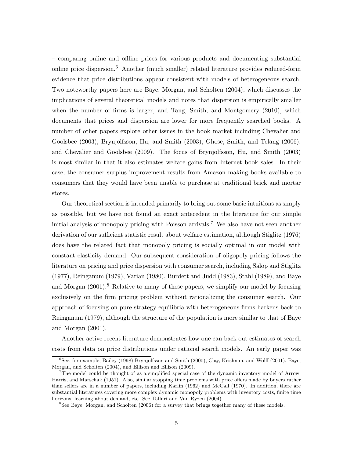– comparing online and offline prices for various products and documenting substantial online price dispersion.<sup>6</sup> Another (much smaller) related literature provides reduced-form evidence that price distributions appear consistent with models of heterogeneous search. Two noteworthy papers here are Baye, Morgan, and Scholten (2004), which discusses the implications of several theoretical models and notes that dispersion is empirically smaller when the number of firms is larger, and Tang, Smith, and Montgomery (2010), which documents that prices and dispersion are lower for more frequently searched books. A number of other papers explore other issues in the book market including Chevalier and Goolsbee (2003), Brynjolfsson, Hu, and Smith (2003), Ghose, Smith, and Telang (2006), and Chevalier and Goolsbee (2009). The focus of Brynjolfsson, Hu, and Smith (2003) is most similar in that it also estimates welfare gains from Internet book sales. In their case, the consumer surplus improvement results from Amazon making books available to consumers that they would have been unable to purchase at traditional brick and mortar stores.

Our theoretical section is intended primarily to bring out some basic intuitions as simply as possible, but we have not found an exact antecedent in the literature for our simple initial analysis of monopoly pricing with Poisson arrivals.<sup>7</sup> We also have not seen another derivation of our sufficient statistic result about welfare estimation, although Stiglitz (1976) does have the related fact that monopoly pricing is socially optimal in our model with constant elasticity demand. Our subsequent consideration of oligopoly pricing follows the literature on pricing and price dispersion with consumer search, including Salop and Stiglitz (1977), Reinganum (1979), Varian (1980), Burdett and Judd (1983), Stahl (1989), and Baye and Morgan  $(2001)$ .<sup>8</sup> Relative to many of these papers, we simplify our model by focusing exclusively on the firm pricing problem without rationalizing the consumer search. Our approach of focusing on pure-strategy equilibria with heterogeneous firms harkens back to Reinganum (1979), although the structure of the population is more similar to that of Baye and Morgan (2001).

Another active recent literature demonstrates how one can back out estimates of search costs from data on price distributions under rational search models. An early paper was

<sup>6</sup>See, for example, Bailey (1998) Brynjolfsson and Smith (2000), Clay, Krishnan, and Wolff (2001), Baye, Morgan, and Scholten (2004), and Ellison and Ellison (2009).

<sup>7</sup>The model could be thought of as a simplified special case of the dynamic inventory model of Arrow, Harris, and Marschak (1951). Also, similar stopping time problems with price offers made by buyers rather than sellers are in a number of papers, including Karlin (1962) and McCall (1970). In addition, there are substantial literatures covering more complex dynamic monopoly problems with inventory costs, finite time horizons, learning about demand, etc. See Talluri and Van Ryzen (2004).

<sup>8</sup>See Baye, Morgan, and Scholten (2006) for a survey that brings together many of these models.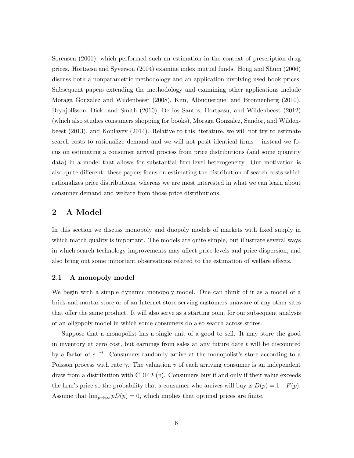Sorensen (2001), which performed such an estimation in the context of prescription drug prices. Hortacsu and Syverson (2004) examine index mutual funds. Hong and Shum (2006) discuss both a nonparametric methodology and an application involving used book prices. Subsequent papers extending the methodology and examining other applications include Moraga Gonzalez and Wildenbeest (2008), Kim, Albuquerque, and Bronnenberg (2010), Brynjolfsson, Dick, and Smith (2010), De los Santos, Hortacsu, and Wildenbeest (2012) (which also studies consumers shopping for books), Moraga Gonzalez, Sandor, and Wildenbeest (2013), and Koulayev (2014). Relative to this literature, we will not try to estimate search costs to rationalize demand and we will not posit identical firms – instead we focus on estimating a consumer arrival process from price distributions (and some quantity data) in a model that allows for substantial firm-level heterogeneity. Our motivation is also quite different: these papers focus on estimating the distribution of search costs which rationalizes price distributions, whereas we are most interested in what we can learn about consumer demand and welfare from those price distributions.

# 2 A Model

In this section we discuss monopoly and duopoly models of markets with fixed supply in which match quality is important. The models are quite simple, but illustrate several ways in which search technology improvements may affect price levels and price dispersion, and also bring out some important observations related to the estimation of welfare effects.

#### 2.1 A monopoly model

We begin with a simple dynamic monopoly model. One can think of it as a model of a brick-and-mortar store or of an Internet store serving customers unaware of any other sites that offer the same product. It will also serve as a starting point for our subsequent analysis of an oligopoly model in which some consumers do also search across stores.

Suppose that a monopolist has a single unit of a good to sell. It may store the good in inventory at zero cost, but earnings from sales at any future date t will be discounted by a factor of  $e^{-rt}$ . Consumers randomly arrive at the monopolist's store according to a Poisson process with rate  $\gamma$ . The valuation v of each arriving consumer is an independent draw from a distribution with CDF  $F(v)$ . Consumers buy if and only if their value exceeds the firm's price so the probability that a consumer who arrives will buy is  $D(p) = 1 - F(p)$ . Assume that  $\lim_{p\to\infty} pD(p) = 0$ , which implies that optimal prices are finite.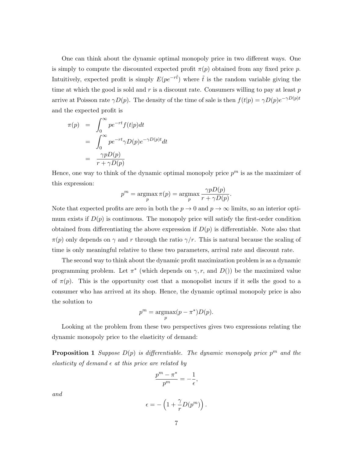One can think about the dynamic optimal monopoly price in two different ways. One is simply to compute the discounted expected profit  $\pi(p)$  obtained from any fixed price p. Intuitively, expected profit is simply  $E(pe^{-r\tilde{t}})$  where  $\tilde{t}$  is the random variable giving the time at which the good is sold and  $r$  is a discount rate. Consumers willing to pay at least  $p$ arrive at Poisson rate  $\gamma D(p)$ . The density of the time of sale is then  $f(t|p) = \gamma D(p)e^{-\gamma D(p)t}$ and the expected profit is

$$
\pi(p) = \int_0^\infty p e^{-rt} f(t|p) dt
$$
  
= 
$$
\int_0^\infty p e^{-rt} \gamma D(p) e^{-\gamma D(p)t} dt
$$
  
= 
$$
\frac{\gamma p D(p)}{r + \gamma D(p)}
$$

Hence, one way to think of the dynamic optimal monopoly price  $p^m$  is as the maximizer of this expression:

$$
p^{m} = \underset{p}{\operatorname{argmax}} \pi(p) = \underset{p}{\operatorname{argmax}} \frac{\gamma p D(p)}{r + \gamma D(p)}.
$$

Note that expected profits are zero in both the  $p \to 0$  and  $p \to \infty$  limits, so an interior optimum exists if  $D(p)$  is continuous. The monopoly price will satisfy the first-order condition obtained from differentiating the above expression if  $D(p)$  is differentiable. Note also that  $\pi(p)$  only depends on  $\gamma$  and r through the ratio  $\gamma/r$ . This is natural because the scaling of time is only meaningful relative to these two parameters, arrival rate and discount rate.

The second way to think about the dynamic profit maximization problem is as a dynamic programming problem. Let  $\pi^*$  (which depends on  $\gamma$ , r, and  $D()$ ) be the maximized value of  $\pi(p)$ . This is the opportunity cost that a monopolist incurs if it sells the good to a consumer who has arrived at its shop. Hence, the dynamic optimal monopoly price is also the solution to

$$
p^{m} = \underset{p}{\operatorname{argmax}} (p - \pi^{*}) D(p).
$$

Looking at the problem from these two perspectives gives two expressions relating the dynamic monopoly price to the elasticity of demand:

**Proposition 1** Suppose  $D(p)$  is differentiable. The dynamic monopoly price  $p^m$  and the elasticity of demand  $\epsilon$  at this price are related by

$$
\frac{p^m - \pi^*}{p^m} = -\frac{1}{\epsilon},
$$

and

$$
\epsilon = -\left(1 + \frac{\gamma}{r}D(p^m)\right).
$$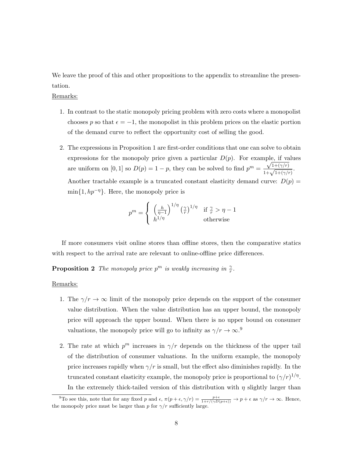We leave the proof of this and other propositions to the appendix to streamline the presentation.

Remarks:

- 1. In contrast to the static monopoly pricing problem with zero costs where a monopolist chooses p so that  $\epsilon = -1$ , the monopolist in this problem prices on the elastic portion of the demand curve to reflect the opportunity cost of selling the good.
- 2. The expressions in Proposition 1 are first-order conditions that one can solve to obtain expressions for the monopoly price given a particular  $D(p)$ . For example, if values are uniform on [0, 1] so  $D(p) = 1 - p$ , they can be solved to find  $p^m = \frac{\sqrt{1 + (\gamma/r)}}{1 + \sqrt{1 + (\gamma/r)}}$ . Another tractable example is a truncated constant elasticity demand curve:  $D(p)$  =  $\min\{1, hp^{-\eta}\}\.$  Here, the monopoly price is

$$
p^{m} = \begin{cases} \left(\frac{h}{\eta-1}\right)^{1/\eta} \left(\frac{\gamma}{r}\right)^{1/\eta} & \text{if } \frac{\gamma}{r} > \eta - 1\\ h^{1/\eta} & \text{otherwise} \end{cases}
$$

If more consumers visit online stores than offline stores, then the comparative statics with respect to the arrival rate are relevant to online-offline price differences.

**Proposition 2** The monopoly price  $p^m$  is weakly increasing in  $\frac{\gamma}{r}$ .

#### Remarks:

- 1. The  $\gamma/r \to \infty$  limit of the monopoly price depends on the support of the consumer value distribution. When the value distribution has an upper bound, the monopoly price will approach the upper bound. When there is no upper bound on consumer valuations, the monopoly price will go to infinity as  $\gamma/r \to \infty$ .<sup>9</sup>
- 2. The rate at which  $p^m$  increases in  $\gamma/r$  depends on the thickness of the upper tail of the distribution of consumer valuations. In the uniform example, the monopoly price increases rapidly when  $\gamma/r$  is small, but the effect also diminishes rapidly. In the truncated constant elasticity example, the monopoly price is proportional to  $(\gamma/r)^{1/\eta}$ . In the extremely thick-tailed version of this distribution with  $\eta$  slightly larger than

<sup>&</sup>lt;sup>9</sup>To see this, note that for any fixed p and  $\epsilon$ ,  $\pi(p+\epsilon,\gamma/r) = \frac{p+\epsilon}{1+r/(\gamma D(p+\epsilon))} \to p+\epsilon$  as  $\gamma/r \to \infty$ . Hence, the monopoly price must be larger than p for  $\gamma/r$  sufficiently large.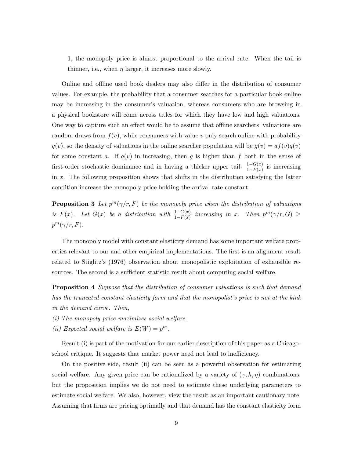1, the monopoly price is almost proportional to the arrival rate. When the tail is thinner, i.e., when  $\eta$  larger, it increases more slowly.

Online and offline used book dealers may also differ in the distribution of consumer values. For example, the probability that a consumer searches for a particular book online may be increasing in the consumer's valuation, whereas consumers who are browsing in a physical bookstore will come across titles for which they have low and high valuations. One way to capture such an effect would be to assume that offline searchers' valuations are random draws from  $f(v)$ , while consumers with value v only search online with probability  $q(v)$ , so the density of valuations in the online searcher population will be  $g(v) = af(v)q(v)$ for some constant a. If  $q(v)$  in increasing, then g is higher than f both in the sense of first-order stochastic dominance and in having a thicker upper tail:  $\frac{1-G(x)}{1-F(x)}$  is increasing in x. The following proposition shows that shifts in the distribution satisfying the latter condition increase the monopoly price holding the arrival rate constant.

**Proposition 3** Let  $p^{m}(\gamma/r, F)$  be the monopoly price when the distribution of valuations is  $F(x)$ . Let  $G(x)$  be a distribution with  $\frac{1-G(x)}{1-F(x)}$  increasing in x. Then  $p^m(\gamma/r, G) \ge$  $p^m(\gamma/r, F)$ .

The monopoly model with constant elasticity demand has some important welfare properties relevant to our and other empirical implementations. The first is an alignment result related to Stiglitz's (1976) observation about monopolistic exploitation of exhausible resources. The second is a sufficient statistic result about computing social welfare.

**Proposition 4** Suppose that the distribution of consumer valuations is such that demand has the truncated constant elasticity form and that the monopolist's price is not at the kink in the demand curve. Then,

- (i) The monopoly price maximizes social welfare.
- (ii) Expected social welfare is  $E(W) = p^m$ .

Result (i) is part of the motivation for our earlier description of this paper as a Chicagoschool critique. It suggests that market power need not lead to inefficiency.

On the positive side, result (ii) can be seen as a powerful observation for estimating social welfare. Any given price can be rationalized by a variety of  $(\gamma, h, \eta)$  combinations, but the proposition implies we do not need to estimate these underlying parameters to estimate social welfare. We also, however, view the result as an important cautionary note. Assuming that firms are pricing optimally and that demand has the constant elasticity form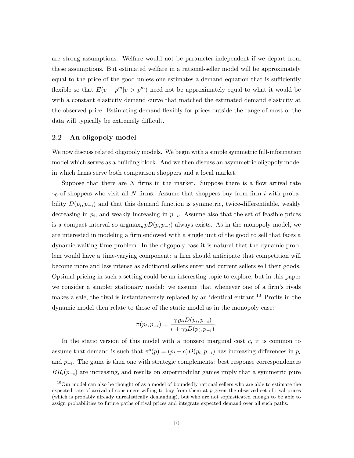are strong assumptions. Welfare would not be parameter-independent if we depart from these assumptions. But estimated welfare in a rational-seller model will be approximately equal to the price of the good unless one estimates a demand equation that is sufficiently flexible so that  $E(v - p^m | v > p^m)$  need not be approximately equal to what it would be with a constant elasticity demand curve that matched the estimated demand elasticity at the observed price. Estimating demand flexibly for prices outside the range of most of the data will typically be extremely difficult.

#### 2.2 An oligopoly model

We now discuss related oligopoly models. We begin with a simple symmetric full-information model which serves as a building block. And we then discuss an asymmetric oligopoly model in which firms serve both comparison shoppers and a local market.

Suppose that there are  $N$  firms in the market. Suppose there is a flow arrival rate  $\gamma_0$  of shoppers who visit all N firms. Assume that shoppers buy from firm i with probability  $D(p_i, p_{-i})$  and that this demand function is symmetric, twice-differentiable, weakly decreasing in  $p_i$ , and weakly increasing in  $p_{-i}$ . Assume also that the set of feasible prices is a compact interval so  $\operatorname{argmax}_p pD(p, p_{-i})$  always exists. As in the monopoly model, we are interested in modeling a firm endowed with a single unit of the good to sell that faces a dynamic waiting-time problem. In the oligopoly case it is natural that the dynamic problem would have a time-varying component: a firm should anticipate that competition will become more and less intense as additional sellers enter and current sellers sell their goods. Optimal pricing in such a setting could be an interesting topic to explore, but in this paper we consider a simpler stationary model: we assume that whenever one of a firm's rivals makes a sale, the rival is instantaneously replaced by an identical entrant.<sup>10</sup> Profits in the dynamic model then relate to those of the static model as in the monopoly case:

$$
\pi(p_i, p_{-i}) = \frac{\gamma_0 p_i D(p_i, p_{-i})}{r + \gamma_0 D(p_i, p_{-i})}.
$$

In the static version of this model with a nonzero marginal cost  $c$ , it is common to assume that demand is such that  $\pi^{s}(p) = (p_i - c)D(p_i, p_{-i})$  has increasing differences in  $p_i$ and  $p_{-i}$ . The game is then one with strategic complements: best response correspondences  $BR<sub>i</sub>(p<sub>-i</sub>)$  are increasing, and results on supermodular games imply that a symmetric pure

<sup>&</sup>lt;sup>10</sup>Our model can also be thought of as a model of boundedly rational sellers who are able to estimate the expected rate of arrival of consumers willing to buy from them at  $p$  given the observed set of rival prices (which is probably already unrealistically demanding), but who are not sophisticated enough to be able to assign probabilities to future paths of rival prices and integrate expected demand over all such paths.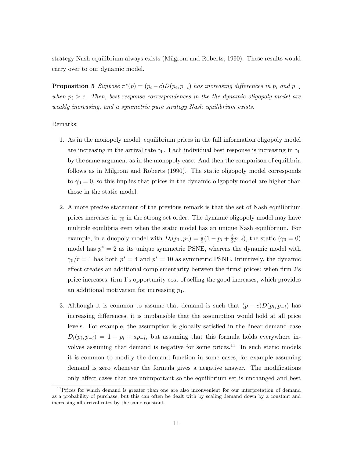strategy Nash equilibrium always exists (Milgrom and Roberts, 1990). These results would carry over to our dynamic model.

**Proposition 5** Suppose  $\pi^{s}(p) = (p_i - c)D(p_i, p_{-i})$  has increasing differences in  $p_i$  and  $p_{-i}$ when  $p_i > c$ . Then, best response correspondences in the the dynamic oligopoly model are weakly increasing, and a symmetric pure strategy Nash equilibrium exists.

#### Remarks:

- 1. As in the monopoly model, equilibrium prices in the full information oligopoly model are increasing in the arrival rate  $\gamma_0$ . Each individual best response is increasing in  $\gamma_0$ by the same argument as in the monopoly case. And then the comparison of equilibria follows as in Milgrom and Roberts (1990). The static oligopoly model corresponds to  $\gamma_0 = 0$ , so this implies that prices in the dynamic oligopoly model are higher than those in the static model.
- 2. A more precise statement of the previous remark is that the set of Nash equilibrium prices increases in  $\gamma_0$  in the strong set order. The dynamic oligopoly model may have multiple equilibria even when the static model has an unique Nash equilibrium. For example, in a duopoly model with  $D_i(p_1, p_2) = \frac{1}{9}(1 - p_i + \frac{3}{2})$  $(\frac{3}{2}p_{-i}),$  the static  $(\gamma_0 = 0)$ model has  $p^* = 2$  as its unique symmetric PSNE, whereas the dynamic model with  $\gamma_0/r=1$  has both  $p^*=4$  and  $p^*=10$  as symmetric PSNE. Intuitively, the dynamic effect creates an additional complementarity between the firms' prices: when firm 2's price increases, firm 1's opportunity cost of selling the good increases, which provides an additional motivation for increasing  $p_1$ .
- 3. Although it is common to assume that demand is such that  $(p c)D(p_i, p_{-i})$  has increasing differences, it is implausible that the assumption would hold at all price levels. For example, the assumption is globally satisfied in the linear demand case  $D_i(p_i, p_{-i}) = 1 - p_i + ap_{-i}$ , but assuming that this formula holds everywhere involves assuming that demand is negative for some prices. $11$  In such static models it is common to modify the demand function in some cases, for example assuming demand is zero whenever the formula gives a negative answer. The modifications only affect cases that are unimportant so the equilibrium set is unchanged and best

 $11$ Prices for which demand is greater than one are also inconvenient for our interpretation of demand as a probability of purchase, but this can often be dealt with by scaling demand down by a constant and increasing all arrival rates by the same constant.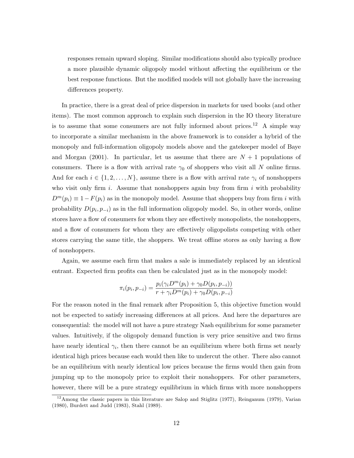responses remain upward sloping. Similar modifications should also typically produce a more plausible dynamic oligopoly model without affecting the equilibrium or the best response functions. But the modified models will not globally have the increasing differences property.

In practice, there is a great deal of price dispersion in markets for used books (and other items). The most common approach to explain such dispersion in the IO theory literature is to assume that some consumers are not fully informed about prices.<sup>12</sup> A simple way to incorporate a similar mechanism in the above framework is to consider a hybrid of the monopoly and full-information oligopoly models above and the gatekeeper model of Baye and Morgan (2001). In particular, let us assume that there are  $N + 1$  populations of consumers. There is a flow with arrival rate  $\gamma_0$  of shoppers who visit all N online firms. And for each  $i \in \{1, 2, ..., N\}$ , assume there is a flow with arrival rate  $\gamma_i$  of nonshoppers who visit only firm  $i$ . Assume that nonshoppers again buy from firm  $i$  with probability  $D^m(p_i) \equiv 1 - F(p_i)$  as in the monopoly model. Assume that shoppers buy from firm i with probability  $D(p_i, p_{-i})$  as in the full information oligopoly model. So, in other words, online stores have a flow of consumers for whom they are effectively monopolists, the nonshoppers, and a flow of consumers for whom they are effectively oligopolists competing with other stores carrying the same title, the shoppers. We treat offline stores as only having a flow of nonshoppers.

Again, we assume each firm that makes a sale is immediately replaced by an identical entrant. Expected firm profits can then be calculated just as in the monopoly model:

$$
\pi_i(p_i, p_{-i}) = \frac{p_i(\gamma_i D^m(p_i) + \gamma_0 D(p_i, p_{-i}))}{r + \gamma_i D^m(p_i) + \gamma_0 D(p_i, p_{-i})}
$$

For the reason noted in the final remark after Proposition 5, this objective function would not be expected to satisfy increasing differences at all prices. And here the departures are consequential: the model will not have a pure strategy Nash equilibrium for some parameter values. Intuitively, if the oligopoly demand function is very price sensitive and two firms have nearly identical  $\gamma_i$ , then there cannot be an equilibrium where both firms set nearly identical high prices because each would then like to undercut the other. There also cannot be an equilibrium with nearly identical low prices because the firms would then gain from jumping up to the monopoly price to exploit their nonshoppers. For other parameters, however, there will be a pure strategy equilibrium in which firms with more nonshoppers

 $12$ Among the classic papers in this literature are Salop and Stiglitz (1977), Reinganum (1979), Varian (1980), Burdett and Judd (1983), Stahl (1989).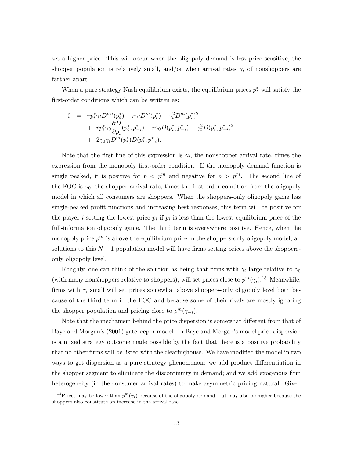set a higher price. This will occur when the oligopoly demand is less price sensitive, the shopper population is relatively small, and/or when arrival rates  $\gamma_i$  of nonshoppers are farther apart.

When a pure strategy Nash equilibrium exists, the equilibrium prices  $p_i^*$  will satisfy the first-order conditions which can be written as:

$$
0 = r p_i^* \gamma_i D^{m'}(p_i^*) + r \gamma_i D^{m}(p_i^*) + \gamma_i^2 D^{m}(p_i^*)^2 + r p_i^* \gamma_0 \frac{\partial D}{\partial p_i} (p_i^*, p_{-i}^*) + r \gamma_0 D(p_i^*, p_{-i}^*) + \gamma_0^2 D(p_i^*, p_{-i}^*)^2 + 2 \gamma_0 \gamma_i D^{m}(p_i^*) D(p_i^*, p_{-i}^*).
$$

Note that the first line of this expression is  $\gamma_i$ , the nonshopper arrival rate, times the expression from the monopoly first-order condition. If the monopoly demand function is single peaked, it is positive for  $p \leq p^m$  and negative for  $p > p^m$ . The second line of the FOC is  $\gamma_0$ , the shopper arrival rate, times the first-order condition from the oligopoly model in which all consumers are shoppers. When the shoppers-only oligopoly game has single-peaked profit functions and increasing best responses, this term will be positive for the player i setting the lowest price  $p_i$  if  $p_i$  is less than the lowest equilibrium price of the full-information oligopoly game. The third term is everywhere positive. Hence, when the monopoly price  $p^m$  is above the equilibrium price in the shoppers-only oligopoly model, all solutions to this  $N+1$  population model will have firms setting prices above the shoppersonly oligopoly level.

Roughly, one can think of the solution as being that firms with  $\gamma_i$  large relative to  $\gamma_0$ (with many nonshoppers relative to shoppers), will set prices close to  $p^m(\gamma_i)$ .<sup>13</sup> Meanwhile, firms with  $\gamma_i$  small will set prices somewhat above shoppers-only oligopoly level both because of the third term in the FOC and because some of their rivals are mostly ignoring the shopper population and pricing close to  $p^{m}(\gamma_{-i})$ .

Note that the mechanism behind the price dispersion is somewhat different from that of Baye and Morgan's (2001) gatekeeper model. In Baye and Morgan's model price dispersion is a mixed strategy outcome made possible by the fact that there is a positive probability that no other firms will be listed with the clearinghouse. We have modified the model in two ways to get dispersion as a pure strategy phenomenon: we add product differentiation in the shopper segment to eliminate the discontinuity in demand; and we add exogenous firm heterogeneity (in the consumer arrival rates) to make asymmetric pricing natural. Given

<sup>&</sup>lt;sup>13</sup>Prices may be lower than  $p^m(\gamma_i)$  because of the oligopoly demand, but may also be higher because the shoppers also constitute an increase in the arrival rate.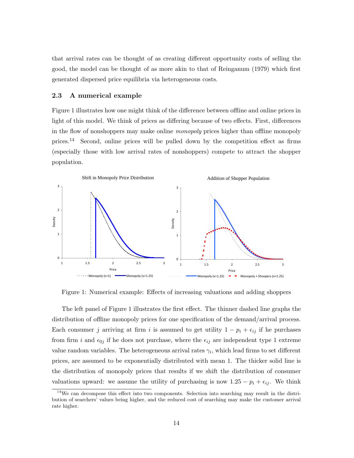that arrival rates can be thought of as creating different opportunity costs of selling the good, the model can be thought of as more akin to that of Reinganum (1979) which first generated dispersed price equilibria via heterogeneous costs.

#### 2.3 A numerical example

Figure 1 illustrates how one might think of the difference between offline and online prices in light of this model. We think of prices as differing because of two effects. First, differences in the flow of nonshoppers may make online monopoly prices higher than offline monopoly prices.<sup>14</sup> Second, online prices will be pulled down by the competition effect as firms (especially those with low arrival rates of nonshoppers) compete to attract the shopper population.



Figure 1: Numerical example: Effects of increasing valuations and adding shoppers

The left panel of Figure 1 illustrates the first effect. The thinner dashed line graphs the distribution of offline monopoly prices for one specification of the demand/arrival process. Each consumer j arriving at firm i is assumed to get utility  $1 - p_i + \epsilon_{ij}$  if he purchases from firm i and  $\epsilon_{0j}$  if he does not purchase, where the  $\epsilon_{ij}$  are independent type 1 extreme value random variables. The heterogeneous arrival rates  $\gamma_i$ , which lead firms to set different prices, are assumed to be exponentially distributed with mean 1. The thicker solid line is the distribution of monopoly prices that results if we shift the distribution of consumer valuations upward: we assume the utility of purchasing is now  $1.25 - p_i + \epsilon_{ij}$ . We think

<sup>&</sup>lt;sup>14</sup>We can decompose this effect into two components. Selection into searching may result in the distribution of searchers' values being higher, and the reduced cost of searching may make the customer arrival rate higher.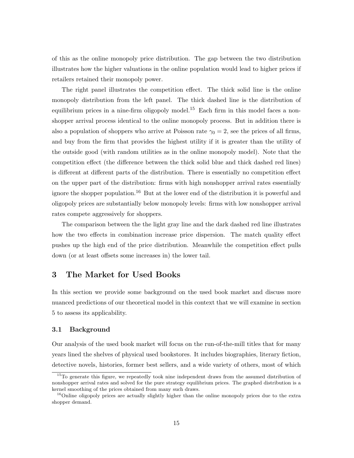of this as the online monopoly price distribution. The gap between the two distribution illustrates how the higher valuations in the online population would lead to higher prices if retailers retained their monopoly power.

The right panel illustrates the competition effect. The thick solid line is the online monopoly distribution from the left panel. The thick dashed line is the distribution of equilibrium prices in a nine-firm oligopoly model.<sup>15</sup> Each firm in this model faces a nonshopper arrival process identical to the online monopoly process. But in addition there is also a population of shoppers who arrive at Poisson rate  $\gamma_0 = 2$ , see the prices of all firms, and buy from the firm that provides the highest utility if it is greater than the utility of the outside good (with random utilities as in the online monopoly model). Note that the competition effect (the difference between the thick solid blue and thick dashed red lines) is different at different parts of the distribution. There is essentially no competition effect on the upper part of the distribution: firms with high nonshopper arrival rates essentially ignore the shopper population.<sup>16</sup> But at the lower end of the distribution it is powerful and oligopoly prices are substantially below monopoly levels: firms with low nonshopper arrival rates compete aggressively for shoppers.

The comparison between the the light gray line and the dark dashed red line illustrates how the two effects in combination increase price dispersion. The match quality effect pushes up the high end of the price distribution. Meanwhile the competition effect pulls down (or at least offsets some increases in) the lower tail.

# 3 The Market for Used Books

In this section we provide some background on the used book market and discuss more nuanced predictions of our theoretical model in this context that we will examine in section 5 to assess its applicability.

#### 3.1 Background

Our analysis of the used book market will focus on the run-of-the-mill titles that for many years lined the shelves of physical used bookstores. It includes biographies, literary fiction, detective novels, histories, former best sellers, and a wide variety of others, most of which

<sup>&</sup>lt;sup>15</sup>To generate this figure, we repeatedly took nine independent draws from the assumed distribution of nonshopper arrival rates and solved for the pure strategy equilibrium prices. The graphed distribution is a kernel smoothing of the prices obtained from many such draws.

<sup>&</sup>lt;sup>16</sup>Online oligopoly prices are actually slightly higher than the online monopoly prices due to the extra shopper demand.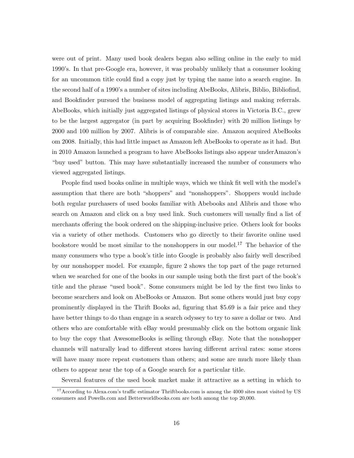were out of print. Many used book dealers began also selling online in the early to mid 1990's. In that pre-Google era, however, it was probably unlikely that a consumer looking for an uncommon title could find a copy just by typing the name into a search engine. In the second half of a 1990's a number of sites including AbeBooks, Alibris, Biblio, Bibliofind, and Bookfinder pursued the business model of aggregating listings and making referrals. AbeBooks, which initially just aggregated listings of physical stores in Victoria B.C., grew to be the largest aggregator (in part by acquiring Bookfinder) with 20 million listings by 2000 and 100 million by 2007. Alibris is of comparable size. Amazon acquired AbeBooks om 2008. Initially, this had little impact as Amazon left AbeBooks to operate as it had. But in 2010 Amazon launched a program to have AbeBooks listings also appear underAmazon's "buy used" button. This may have substantially increased the number of consumers who viewed aggregated listings.

People find used books online in multiple ways, which we think fit well with the model's assumption that there are both "shoppers" and "nonshoppers". Shoppers would include both regular purchasers of used books familiar with Abebooks and Alibris and those who search on Amazon and click on a buy used link. Such customers will usually find a list of merchants offering the book ordered on the shipping-inclusive price. Others look for books via a variety of other methods. Customers who go directly to their favorite online used bookstore would be most similar to the nonshoppers in our model.<sup>17</sup> The behavior of the many consumers who type a book's title into Google is probably also fairly well described by our nonshopper model. For example, figure 2 shows the top part of the page returned when we searched for one of the books in our sample using both the first part of the book's title and the phrase "used book". Some consumers might be led by the first two links to become searchers and look on AbeBooks or Amazon. But some others would just buy copy prominently displayed in the Thrift Books ad, figuring that \$5.69 is a fair price and they have better things to do than engage in a search odyssey to try to save a dollar or two. And others who are comfortable with eBay would presumably click on the bottom organic link to buy the copy that AwesomeBooks is selling through eBay. Note that the nonshopper channels will naturally lead to different stores having different arrival rates: some stores will have many more repeat customers than others; and some are much more likely than others to appear near the top of a Google search for a particular title.

Several features of the used book market make it attractive as a setting in which to

<sup>&</sup>lt;sup>17</sup> According to Alexa.com's traffic estimator Thriftbooks.com is among the 4000 sites most visited by US consumers and Powells.com and Betterworldbooks.com are both among the top 20,000.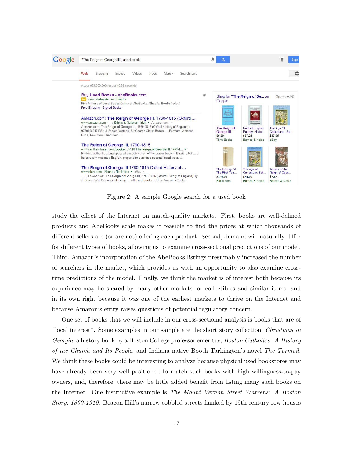

Figure 2: A sample Google search for a used book

study the effect of the Internet on match-quality markets. First, books are well-defined products and AbeBooks scale makes it feasible to find the prices at which thousands of different sellers are (or are not) offering each product. Second, demand will naturally differ for different types of books, allowing us to examine cross-sectional predictions of our model. Third, Amazon's incorporation of the AbeBooks listings presumably increased the number of searchers in the market, which provides us with an opportunity to also examine crosstime predictions of the model. Finally, we think the market is of interest both because its experience may be shared by many other markets for collectibles and similar items, and in its own right because it was one of the earliest markets to thrive on the Internet and because Amazon's entry raises questions of potential regulatory concern.

One set of books that we will include in our cross-sectional analysis is books that are of "local interest". Some examples in our sample are the short story collection, Christmas in Georgia, a history book by a Boston College professor emeritus, Boston Catholics: A History of the Church and Its People, and Indiana native Booth Tarkington's novel The Turmoil. We think these books could be interesting to analyze because physical used bookstores may have already been very well positioned to match such books with high willingness-to-pay owners, and, therefore, there may be little added benefit from listing many such books on the Internet. One instructive example is The Mount Vernon Street Warrens: A Boston Story, 1860-1910. Beacon Hill's narrow cobbled streets flanked by 19th century row houses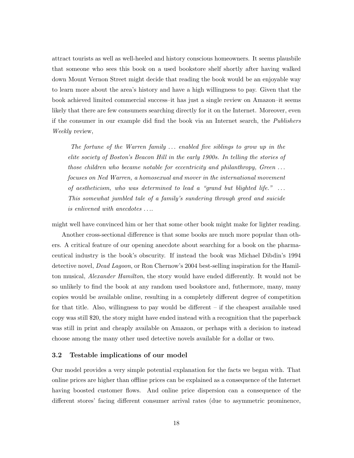attract tourists as well as well-heeled and history conscious homeowners. It seems plausbile that someone who sees this book on a used bookstore shelf shortly after having walked down Mount Vernon Street might decide that reading the book would be an enjoyable way to learn more about the area's history and have a high willingness to pay. Given that the book achieved limited commercial success–it has just a single review on Amazon–it seems likely that there are few consumers searching directly for it on the Internet. Moreover, even if the consumer in our example did find the book via an Internet search, the Publishers Weekly review,

The fortune of the Warren family  $\ldots$  enabled five siblings to grow up in the elite society of Boston's Beacon Hill in the early 1900s. In telling the stories of those children who became notable for eccentricity and philanthropy, Green . . . focuses on Ned Warren, a homosexual and mover in the international movement of aestheticism, who was determined to lead a "grand but blighted life."  $\dots$ This somewhat jumbled tale of a family's sundering through greed and suicide is enlivened with anecdotes ....

might well have convinced him or her that some other book might make for lighter reading. Another cross-sectional difference is that some books are much more popular than others. A critical feature of our opening anecdote about searching for a book on the pharmaceutical industry is the book's obscurity. If instead the book was Michael Dibdin's 1994 detective novel, *Dead Lagoon*, or Ron Chernow's 2004 best-selling inspiration for the Hamilton musical, *Alexander Hamilton*, the story would have ended differently. It would not be so unlikely to find the book at any random used bookstore and, futhermore, many, many copies would be available online, resulting in a completely different degree of competition for that title. Also, willingness to pay would be different – if the cheapest available used copy was still \$20, the story might have ended instead with a recognition that the paperback was still in print and cheaply available on Amazon, or perhaps with a decision to instead choose among the many other used detective novels available for a dollar or two.

#### 3.2 Testable implications of our model

Our model provides a very simple potential explanation for the facts we began with. That online prices are higher than offline prices can be explained as a consequence of the Internet having boosted customer flows. And online price dispersion can a consequence of the different stores' facing different consumer arrival rates (due to asymmetric prominence,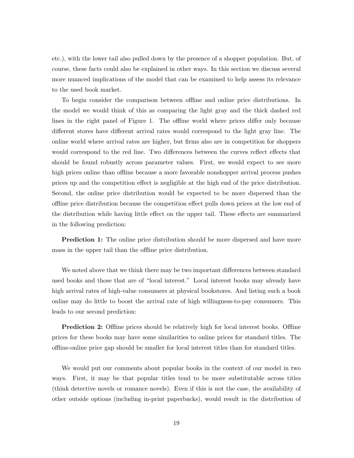etc.), with the lower tail also pulled down by the presence of a shopper population. But, of course, these facts could also be explained in other ways. In this section we discuss several more nuanced implications of the model that can be examined to help assess its relevance to the used book market.

To begin consider the comparison between offline and online price distributions. In the model we would think of this as comparing the light gray and the thick dashed red lines in the right panel of Figure 1. The offline world where prices differ only because different stores have different arrival rates would correspond to the light gray line. The online world where arrival rates are higher, but firms also are in competition for shoppers would correspond to the red line. Two differences between the curves reflect effects that should be found robustly across parameter values. First, we would expect to see more high prices online than offline because a more favorable nonshopper arrival process pushes prices up and the competition effect is negligible at the high end of the price distribution. Second, the online price distribution would be expected to be more dispersed than the offline price distribution because the competition effect pulls down prices at the low end of the distribution while having little effect on the upper tail. These effects are summarized in the following prediction:

**Prediction 1:** The online price distribution should be more dispersed and have more mass in the upper tail than the offline price distribution.

We noted above that we think there may be two important differences between standard used books and those that are of "local interest." Local interest books may already have high arrival rates of high-value consumers at physical bookstores. And listing such a book online may do little to boost the arrival rate of high willingness-to-pay consumers. This leads to our second prediction:

**Prediction 2:** Offline prices should be relatively high for local interest books. Offline prices for these books may have some similarities to online prices for standard titles. The offline-online price gap should be smaller for local interest titles than for standard titles.

We would put our comments about popular books in the context of our model in two ways. First, it may be that popular titles tend to be more substitutable across titles (think detective novels or romance novels). Even if this is not the case, the availability of other outside options (including in-print paperbacks), would result in the distribution of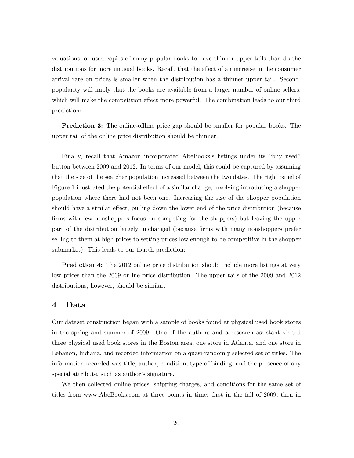valuations for used copies of many popular books to have thinner upper tails than do the distributions for more unusual books. Recall, that the effect of an increase in the consumer arrival rate on prices is smaller when the distribution has a thinner upper tail. Second, popularity will imply that the books are available from a larger number of online sellers, which will make the competition effect more powerful. The combination leads to our third prediction:

Prediction 3: The online-offline price gap should be smaller for popular books. The upper tail of the online price distribution should be thinner.

Finally, recall that Amazon incorporated AbeBooks's listings under its "buy used" button between 2009 and 2012. In terms of our model, this could be captured by assuming that the size of the searcher population increased between the two dates. The right panel of Figure 1 illustrated the potential effect of a similar change, involving introducing a shopper population where there had not been one. Increasing the size of the shopper population should have a similar effect, pulling down the lower end of the price distribution (because firms with few nonshoppers focus on competing for the shoppers) but leaving the upper part of the distribution largely unchanged (because firms with many nonshoppers prefer selling to them at high prices to setting prices low enough to be competitive in the shopper submarket). This leads to our fourth prediction:

Prediction 4: The 2012 online price distribution should include more listings at very low prices than the 2009 online price distribution. The upper tails of the 2009 and 2012 distributions, however, should be similar.

# 4 Data

Our dataset construction began with a sample of books found at physical used book stores in the spring and summer of 2009. One of the authors and a research assistant visited three physical used book stores in the Boston area, one store in Atlanta, and one store in Lebanon, Indiana, and recorded information on a quasi-randomly selected set of titles. The information recorded was title, author, condition, type of binding, and the presence of any special attribute, such as author's signature.

We then collected online prices, shipping charges, and conditions for the same set of titles from www.AbeBooks.com at three points in time: first in the fall of 2009, then in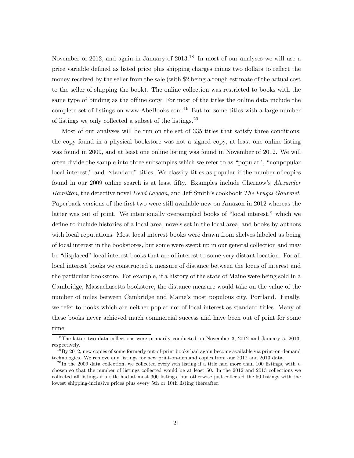November of 2012, and again in January of 2013.<sup>18</sup> In most of our analyses we will use a price variable defined as listed price plus shipping charges minus two dollars to reflect the money received by the seller from the sale (with \$2 being a rough estimate of the actual cost to the seller of shipping the book). The online collection was restricted to books with the same type of binding as the offline copy. For most of the titles the online data include the complete set of listings on www.AbeBooks.com.<sup>19</sup> But for some titles with a large number of listings we only collected a subset of the listings.<sup>20</sup>

Most of our analyses will be run on the set of 335 titles that satisfy three conditions: the copy found in a physical bookstore was not a signed copy, at least one online listing was found in 2009, and at least one online listing was found in November of 2012. We will often divide the sample into three subsamples which we refer to as "popular", "nonpopular local interest," and "standard" titles. We classify titles as popular if the number of copies found in our 2009 online search is at least fifty. Examples include Chernow's *Alexander* Hamilton, the detective novel *Dead Lagoon*, and Jeff Smith's cookbook The Frugal Gourmet. Paperback versions of the first two were still available new on Amazon in 2012 whereas the latter was out of print. We intentionally oversampled books of "local interest," which we define to include histories of a local area, novels set in the local area, and books by authors with local reputations. Most local interest books were drawn from shelves labeled as being of local interest in the bookstores, but some were swept up in our general collection and may be "displaced" local interest books that are of interest to some very distant location. For all local interest books we constructed a measure of distance between the locus of interest and the particular bookstore. For example, if a history of the state of Maine were being sold in a Cambridge, Massachusetts bookstore, the distance measure would take on the value of the number of miles between Cambridge and Maine's most populous city, Portland. Finally, we refer to books which are neither poplar nor of local interest as standard titles. Many of these books never achieved much commercial success and have been out of print for some time.

<sup>&</sup>lt;sup>18</sup>The latter two data collections were primarily conducted on November 3, 2012 and January 5, 2013, respectively.

 $19By 2012$ , new copies of some formerly out-of-print books had again become available via print-on-demand technologies. We remove any listings for new print-on-demand copies from our 2012 and 2013 data.

<sup>&</sup>lt;sup>20</sup>In the 2009 data collection, we collected every nth listing if a title had more than 100 listings, with n chosen so that the number of listings collected would be at least 50. In the 2012 and 2013 collections we collected all listings if a title had at most 300 listings, but otherwise just collected the 50 listings with the lowest shipping-inclusive prices plus every 5th or 10th listing thereafter.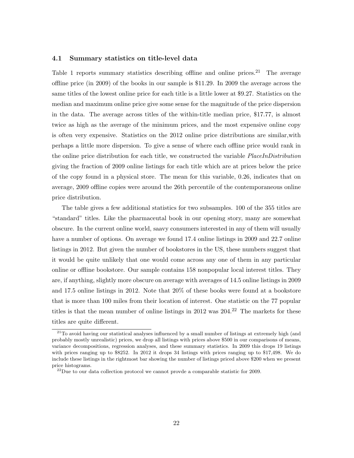#### 4.1 Summary statistics on title-level data

Table 1 reports summary statistics describing offline and online prices.<sup>21</sup> The average offline price (in 2009) of the books in our sample is \$11.29. In 2009 the average across the same titles of the lowest online price for each title is a little lower at \$9.27. Statistics on the median and maximum online price give some sense for the magnitude of the price dispersion in the data. The average across titles of the within-title median price, \$17.77, is almost twice as high as the average of the minimum prices, and the most expensive online copy is often very expensive. Statistics on the 2012 online price distributions are similar,with perhaps a little more dispersion. To give a sense of where each offline price would rank in the online price distribution for each title, we constructed the variable *PlaceInDistribution* giving the fraction of 2009 online listings for each title which are at prices below the price of the copy found in a physical store. The mean for this variable, 0.26, indicates that on average, 2009 offline copies were around the 26th percentile of the contemporaneous online price distribution.

The table gives a few additional statistics for two subsamples. 100 of the 355 titles are "standard" titles. Like the pharmaceutal book in our opening story, many are somewhat obscure. In the current online world, saavy consumers interested in any of them will usually have a number of options. On average we found 17.4 online listings in 2009 and 22.7 online listings in 2012. But given the number of bookstores in the US, these numbers suggest that it would be quite unlikely that one would come across any one of them in any particular online or offline bookstore. Our sample contains 158 nonpopular local interest titles. They are, if anything, slightly more obscure on average with averages of 14.5 online listings in 2009 and 17.5 online listings in 2012. Note that 20% of these books were found at a bookstore that is more than 100 miles from their location of interest. One statistic on the 77 popular titles is that the mean number of online listings in  $2012$  was  $204<sup>22</sup>$ . The markets for these titles are quite different.

<sup>&</sup>lt;sup>21</sup>To avoid having our statistical analyses influenced by a small number of listings at extremely high (and probably mostly unrealistic) prices, we drop all listings with prices above \$500 in our comparisons of means, variance decompositions, regression analyses, and these summary statistics. In 2009 this drops 19 listings with prices ranging up to \$8252. In 2012 it drops 34 listings with prices ranging up to \$17,498. We do include these listings in the rightmost bar showing the number of listings priced above \$200 when we present price histograms.

 $^{22}$ Due to our data collection protocol we cannot provde a comparable statistic for 2009.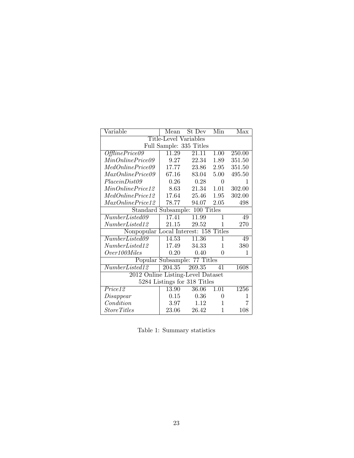| Variable                              | Mean                           | St Dev                       | Min            | Max    |  |
|---------------------------------------|--------------------------------|------------------------------|----------------|--------|--|
| Title-Level Variables                 |                                |                              |                |        |  |
|                                       |                                | Full Sample: 335 Titles      |                |        |  |
| OfflinePrice09                        | 11.29                          | 21.11                        | 1.00           | 250.00 |  |
| MinOnlinePrice09                      | 9.27                           | 22.34                        | 1.89           | 351.50 |  |
| MedOnlinePrice09                      | 17.77                          | 23.86                        | 2.95           | 351.50 |  |
| MaxOnlinePrice09                      | 67.16                          | 83.04                        | 5.00           | 495.50 |  |
| Place in Dist09                       | 0.26                           | 0.28                         | 0              | 1      |  |
| MinOnlinePrice12                      | 8.63                           | 21.34                        | 1.01           | 302.00 |  |
| MedOnlinePrice12                      | 17.64                          | 25.46                        | 1.95           | 302.00 |  |
| MaxOnlinePrice12                      | 78.77                          | 94.07                        | 2.05           | 498    |  |
|                                       | Standard Subsample: 100 Titles |                              |                |        |  |
| NumberListed09                        | 17.41                          | 11.99                        | $\mathbf 1$    | 49     |  |
| NumberListed12                        | 21.15                          | 29.52                        | $\mathbf{1}$   | 270    |  |
| Nonpopular Local Interest: 158 Titles |                                |                              |                |        |  |
| NumberListed09                        | 14.53                          | 11.36                        | 1              | 49     |  |
| NumberListed12                        | 17.49                          | 34.33                        | 1              | 380    |  |
| Over100 Miles                         | 0.20                           | 0.40                         | 0              | 1      |  |
|                                       |                                | Popular Subsample: 77 Titles |                |        |  |
| NumberListed12                        | 204.35                         | 269.35                       | 41             | 1608   |  |
| 2012 Online Listing-Level Dataset     |                                |                              |                |        |  |
| 5284 Listings for 318 Titles          |                                |                              |                |        |  |
| Price12                               | 13.90                          | 36.06                        | 1.01           | 1256   |  |
| Disappear                             | 0.15                           | 0.36                         | $\overline{0}$ | 1      |  |
| Condition                             | 3.97                           | 1.12                         | 1              | 7      |  |
| <i>StoreTitles</i>                    | 23.06                          | 26.42                        | $\mathbf{1}$   | 108    |  |

Table 1: Summary statistics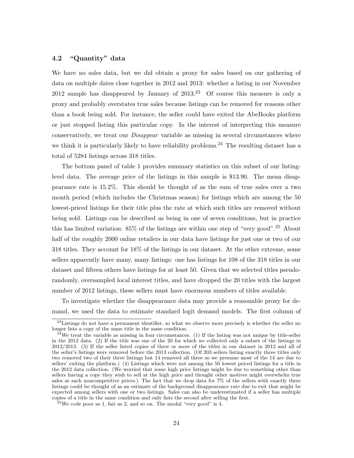#### 4.2 "Quantity" data

We have no sales data, but we did obtain a proxy for sales based on our gathering of data on multiple dates close together in 2012 and 2013: whether a listing in our November 2012 sample has disappeared by January of  $2013<sup>23</sup>$  Of course this measure is only a proxy and probably overstates true sales because listings can be removed for reasons other than a book being sold. For instance, the seller could have exited the AbeBooks platform or just stopped listing this particular copy. In the interest of interpreting this measure conservatively, we treat our *Disappear* variable as missing in several circumstances where we think it is particularly likely to have reliability problems.<sup>24</sup> The resulting dataset has a total of 5284 listings across 318 titles.

The bottom panel of table 1 provides summary statistics on this subset of our listinglevel data. The average price of the listings in this sample is \$13.90. The mean disappearance rate is 15.2%. This should be thought of as the sum of true sales over a two month period (which includes the Christmas season) for listings which are among the 50 lowest-priced listings for their title plus the rate at which such titles are removed without being sold. Listings can be described as being in one of seven conditions, but in practice this has limited variation:  $85\%$  of the listings are within one step of "very good".<sup>25</sup> About half of the roughly 2000 online retailers in our data have listings for just one or two of our 318 titles. They account for 18% of the listings in our dataset. At the other extreme, some sellers apparently have many, many listings: one has listings for 108 of the 318 titles in our dataset and fifteen others have listings for at least 50. Given that we selected titles pseudorandomly, oversampled local interest titles, and have dropped the 20 titles with the largest number of 2012 listings, these sellers must have enormous numbers of titles available.

To investigate whether the disappearance data may provide a reasonable proxy for demand, we used the data to estimate standard logit demand models. The first column of

<sup>&</sup>lt;sup>23</sup>Listings do not have a permanent identifier, so what we observe more precisely is whether the seller no longer lists a copy of the same title in the same condition.

 $24$ We treat the variable as missing in four circumstances. (1) If the listing was not unique by title-seller in the 2012 data. (2) If the title was one of the 20 for which we collected only a subset of the listings in 2012/2013. (3) If the seller listed copies of three or more of the titles in our dataset in 2012 and all of the seller's listings were removed before the 2013 collection. (Of 203 sellers listing exactly three titles only two removed two of their three listings but 14 removed all three so we presume most of the 14 are due to sellers' exiting the platform.) (4) Listings which were not among the 50 lowest priced listings for a title in the 2012 data collection. (We worried that some high price listings might be due to something other than sellers having a copy they wish to sell at the high price and thought other motives might overwhelm true sales at such noncompetitive prices.) The fact that we drop data for 7% of the sellers with exactly three listings could be thought of as an estimate of the background disappearance rate due to exit that might be expected among sellers with one or two listings. Sales can also be underestimated if a seller has multiple copies of a title in the same condition and only lists the second after selling the first.

 $^{25}$ We code poor as 1, fair as 2, and so on. The modal "very good" is 4.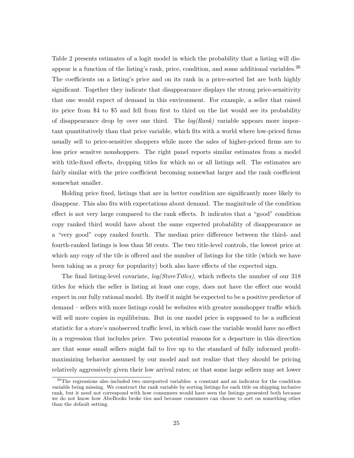Table 2 presents estimates of a logit model in which the probability that a listing will disappear is a function of the listing's rank, price, condition, and some additional variables.<sup>26</sup> The coefficients on a listing's price and on its rank in a price-sorted list are both highly significant. Together they indicate that disappearance displays the strong price-sensitivity that one would expect of demand in this environment. For example, a seller that raised its price from \$4 to \$5 and fell from first to third on the list would see its probability of disappearance drop by over one third. The  $log(Rank)$  variable appears more important quantitatively than that price variable, which fits with a world where low-priced firms usually sell to price-sensitive shoppers while more the sales of higher-priced firms are to less price sensitve nonshoppers. The right panel reports similar estimates from a model with title-fixed effects, dropping titles for which no or all listings sell. The estimates are fairly similar with the price coefficient becoming somewhat larger and the rank coefficient somewhat smaller.

Holding price fixed, listings that are in better condition are significantly more likely to disappear. This also fits with expectations about demand. The maginitude of the condition effect is not very large compared to the rank effects. It indicates that a "good" condition copy ranked third would have about the same expected probability of disappearance as a "very good" copy ranked fourth. The median price difference between the third- and fourth-ranked listings is less than 50 cents. The two title-level controls, the lowest price at which any copy of the tile is offered and the number of listings for the title (which we have been taking as a proxy for popularity) both also have effects of the expected sign.

The final listing-level covariate,  $log(StoreTitles)$ , which reflects the number of our 318 titles for which the seller is listing at least one copy, does not have the effect one would expect in our fully rational model. By itself it might be expected to be a positive predictor of demand – sellers with more listings could be websites with greater nonshopper traffic which will sell more copies in equilibrium. But in our model price is supposed to be a sufficient statistic for a store's unobserved traffic level, in which case the variable would have no effect in a regression that includes price. Two potential reasons for a departure in this direction are that some small sellers might fail to live up to the standard of fully informed profitmaximizing behavior assumed by our model and not realize that they should be pricing relatively aggressively given their low arrival rates; or that some large sellers may set lower

<sup>&</sup>lt;sup>26</sup>The regressions also included two unreported variables: a constant and an indicator for the condition variable being missing. We construct the rank variable by sorting listings for each title on shipping inclusive rank, but it need not correspond with how consumers would have seen the listings presented both because we do not know how AbeBooks broke ties and because consumers can choose to sort on something other than the default setting.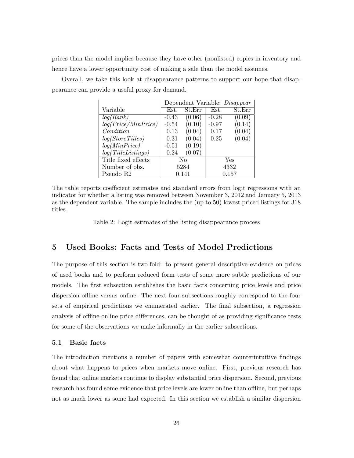prices than the model implies because they have other (nonlisted) copies in inventory and hence have a lower opportunity cost of making a sale than the model assumes.

> Dependent Variable: Disappear Variable Est. St.Err Est. St.Err  $log(Rank)$   $-0.43$   $(0.06)$   $-0.28$   $(0.09)$  $log(Price/MinPrice)$  -0.54 (0.10) -0.97 (0.14) Condition  $[0.13 \ (0.04) \ [0.17 \ (0.04)]$  $log(StoreTitles)$   $| 0.31 (0.04) | 0.25 (0.04)$  $log(MinPrice)$   $-0.51$   $(0.19)$  $log(TitleListings)$  | 0.24 (0.07) Title fixed effects No No Yes Number of obs.  $\boxed{5284}$   $\boxed{4332}$ Pseudo R2  $\vert$  0.141  $\vert$  0.157

Overall, we take this look at disappearance patterns to support our hope that disappearance can provide a useful proxy for demand.

The table reports coefficient estimates and standard errors from logit regressions with an indicator for whether a listing was removed between November 3, 2012 and January 5, 2013 as the dependent variable. The sample includes the (up to 50) lowest priced listings for 318 titles.

Table 2: Logit estimates of the listing disappearance process

# 5 Used Books: Facts and Tests of Model Predictions

The purpose of this section is two-fold: to present general descriptive evidence on prices of used books and to perform reduced form tests of some more subtle predictions of our models. The first subsection establishes the basic facts concerning price levels and price dispersion offline versus online. The next four subsections roughly correspond to the four sets of empirical predictions we enumerated earlier. The final subsection, a regression analysis of offline-online price differences, can be thought of as providing significance tests for some of the observations we make informally in the earlier subsections.

#### 5.1 Basic facts

The introduction mentions a number of papers with somewhat counterintuitive findings about what happens to prices when markets move online. First, previous research has found that online markets continue to display substantial price dispersion. Second, previous research has found some evidence that price levels are lower online than offline, but perhaps not as much lower as some had expected. In this section we establish a similar dispersion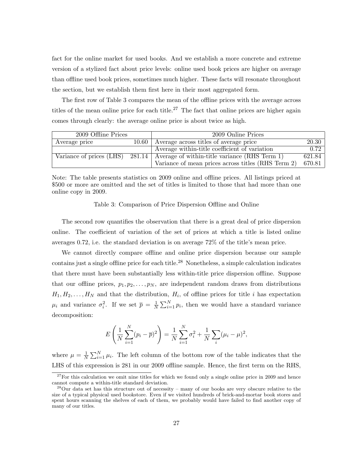fact for the online market for used books. And we establish a more concrete and extreme version of a stylized fact about price levels: online used book prices are higher on average than offline used book prices, sometimes much higher. These facts will resonate throughout the section, but we establish them first here in their most aggregated form.

The first row of Table 3 compares the mean of the offline prices with the average across titles of the mean online price for each title.<sup>27</sup> The fact that online prices are higher again comes through clearly: the average online price is about twice as high.

| 2009 Offline Prices |       | 2009 Online Prices                                                              |        |
|---------------------|-------|---------------------------------------------------------------------------------|--------|
| Average price       | 10.60 | Average across titles of average price                                          | 20.30  |
|                     |       | Average within-title coefficient of variation                                   | 0.72   |
|                     |       | Variance of prices (LHS) 281.14   Average of within-title variance (RHS Term 1) | 621.84 |
|                     |       | Variance of mean prices across titles (RHS Term 2)                              | 670.81 |

Note: The table presents statistics on 2009 online and offline prices. All listings priced at \$500 or more are omitted and the set of titles is limited to those that had more than one online copy in 2009.

#### Table 3: Comparison of Price Dispersion Offline and Online

The second row quantifies the observation that there is a great deal of price dispersion online. The coefficient of variation of the set of prices at which a title is listed online averages 0.72, i.e. the standard deviation is on average 72% of the title's mean price.

We cannot directly compare offline and online price dispersion because our sample contains just a single offline price for each title.<sup>28</sup> Nonetheless, a simple calculation indicates that there must have been substantially less within-title price dispersion offline. Suppose that our offline prices,  $p_1, p_2, \ldots, p_N$ , are independent random draws from distributions  $H_1, H_2, \ldots, H_N$  and that the distribution,  $H_i$ , of offline prices for title *i* has expectation  $\mu_i$  and variance  $\sigma_i^2$ . If we set  $\bar{p} = \frac{1}{N}$  $\frac{1}{N} \sum_{i=1}^{N} p_i$ , then we would have a standard variance decomposition:

$$
E\left(\frac{1}{N}\sum_{i=1}^{N}(p_i-\overline{p})^2\right)=\frac{1}{N}\sum_{i=1}^{N}\sigma_i^2+\frac{1}{N}\sum_{i}(\mu_i-\mu)^2,
$$

where  $\mu = \frac{1}{\lambda}$  $\frac{1}{N}\sum_{i=1}^{N}\mu_i$ . The left column of the bottom row of the table indicates that the LHS of this expression is 281 in our 2009 offline sample. Hence, the first term on the RHS,

 $27$  For this calculation we omit nine titles for which we found only a single online price in 2009 and hence cannot compute a within-title standard deviation.

 $^{28}$ Our data set has this structure out of necessity – many of our books are very obscure relative to the size of a typical physical used bookstore. Even if we visited hundreds of brick-and-mortar book stores and spent hours scanning the shelves of each of them, we probably would have failed to find another copy of many of our titles.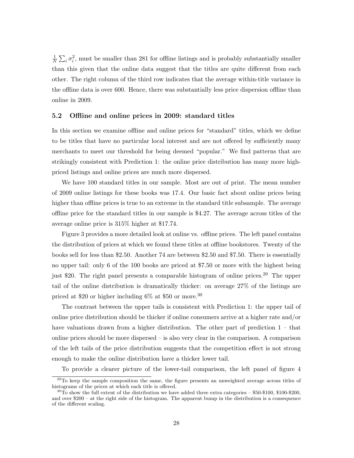1  $\frac{1}{N}\sum_i \sigma_i^2$ , must be smaller than 281 for offline listings and is probably substantially smaller than this given that the online data suggest that the titles are quite different from each other. The right column of the third row indicates that the average within-title variance in the offline data is over 600. Hence, there was substantially less price dispersion offline than online in 2009.

#### 5.2 Offline and online prices in 2009: standard titles

In this section we examine offline and online prices for "standard" titles, which we define to be titles that have no particular local interest and are not offered by sufficiently many merchants to meet our threshold for being deemed "popular." We find patterns that are strikingly consistent with Prediction 1: the online price distribution has many more highpriced listings and online prices are much more dispersed.

We have 100 standard titles in our sample. Most are out of print. The mean number of 2009 online listings for these books was 17.4. Our basic fact about online prices being higher than offline prices is true to an extreme in the standard title subsample. The average offline price for the standard titles in our sample is \$4.27. The average across titles of the average online price is 315% higher at \$17.74.

Figure 3 provides a more detailed look at online vs. offline prices. The left panel contains the distribution of prices at which we found these titles at offline bookstores. Twenty of the books sell for less than \$2.50. Another 74 are between \$2.50 and \$7.50. There is essentially no upper tail: only 6 of the 100 books are priced at \$7.50 or more with the highest being just \$20. The right panel presents a comparable histogram of online prices.<sup>29</sup> The upper tail of the online distribution is dramatically thicker: on average 27% of the listings are priced at \$20 or higher including  $6\%$  at \$50 or more.<sup>30</sup>

The contrast between the upper tails is consistent with Prediction 1: the upper tail of online price distribution should be thicker if online consumers arrive at a higher rate and/or have valuations drawn from a higher distribution. The other part of prediction  $1 - \text{that}$ online prices should be more dispersed – is also very clear in the comparison. A comparison of the left tails of the price distribution suggests that the competition effect is not strong enough to make the online distribution have a thicker lower tail.

To provide a clearer picture of the lower-tail comparison, the left panel of figure 4

<sup>&</sup>lt;sup>29</sup>To keep the sample composition the same, the figure presents an unweighted average across titles of histograms of the prices at which each title is offered.

 $30T<sub>0</sub>$  show the full extent of the distribution we have added three extra categories – \$50-\$100, \$100-\$200, and over \$200 – at the right side of the histogram. The apparent bump in the distribution is a consequence of the different scaling.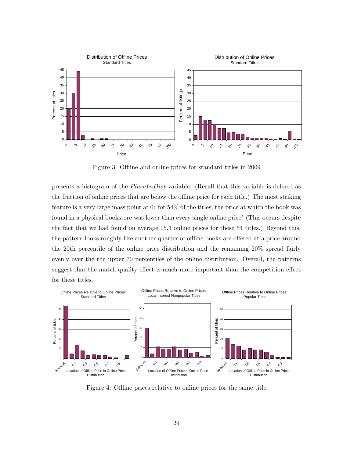

Figure 3: Offline and online prices for standard titles in 2009

presents a histogram of the PlaceInDist variable. (Recall that this variable is defined as the fraction of online prices that are below the offline price for each title.) The most striking feature is a very large mass point at 0: for 54% of the titles, the price at which the book was found in a physical bookstore was lower than every single online price! (This occurs despite the fact that we had found on average 15.3 online prices for these 54 titles.) Beyond this, the pattern looks roughly like another quarter of offline books are offered at a price around the 20th percentile of the online price distribution and the remaining 20% spread fairly evenly over the the upper 70 percentiles of the online distribution. Overall, the patterns suggest that the match quality effect is much more important than the competition effect for these titles.



Figure 4: Offline prices relative to online prices for the same title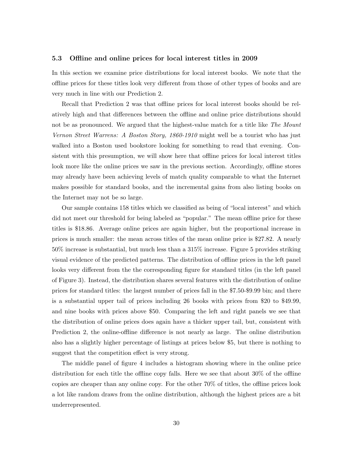#### 5.3 Offline and online prices for local interest titles in 2009

In this section we examine price distributions for local interest books. We note that the offline prices for these titles look very different from those of other types of books and are very much in line with our Prediction 2.

Recall that Prediction 2 was that offline prices for local interest books should be relatively high and that differences between the offline and online price distributions should not be as pronounced. We argued that the highest-value match for a title like The Mount Vernon Street Warrens: A Boston Story, 1860-1910 might well be a tourist who has just walked into a Boston used bookstore looking for something to read that evening. Consistent with this presumption, we will show here that offline prices for local interest titles look more like the online prices we saw in the previous section. Accordingly, offline stores may already have been achieving levels of match quality comparable to what the Internet makes possible for standard books, and the incremental gains from also listing books on the Internet may not be so large.

Our sample contains 158 titles which we classified as being of "local interest" and which did not meet our threshold for being labeled as "popular." The mean offline price for these titles is \$18.86. Average online prices are again higher, but the proportional increase in prices is much smaller: the mean across titles of the mean online price is \$27.82. A nearly 50% increase is substantial, but much less than a 315% increase. Figure 5 provides striking visual evidence of the predicted patterns. The distribution of offline prices in the left panel looks very different from the the corresponding figure for standard titles (in the left panel of Figure 3). Instead, the distribution shares several features with the distribution of online prices for standard titles: the largest number of prices fall in the \$7.50-\$9.99 bin; and there is a substantial upper tail of prices including 26 books with prices from \$20 to \$49.99, and nine books with prices above \$50. Comparing the left and right panels we see that the distribution of online prices does again have a thicker upper tail, but, consistent with Prediction 2, the online-offline difference is not nearly as large. The online distribution also has a slightly higher percentage of listings at prices below \$5, but there is nothing to suggest that the competition effect is very strong.

The middle panel of figure 4 includes a histogram showing where in the online price distribution for each title the offline copy falls. Here we see that about 30% of the offline copies are cheaper than any online copy. For the other 70% of titles, the offline prices look a lot like random draws from the online distribution, although the highest prices are a bit underrepresented.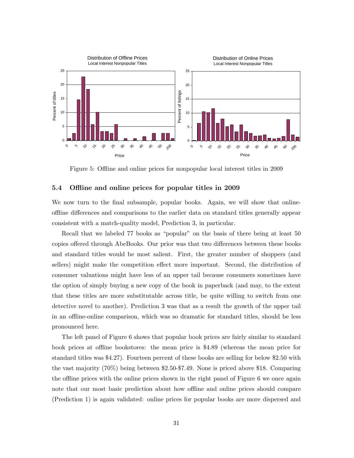

Figure 5: Offline and online prices for nonpopular local interest titles in 2009

#### 5.4 Offline and online prices for popular titles in 2009

We now turn to the final subsample, popular books. Again, we will show that onlineoffline differences and comparisons to the earlier data on standard titles generally appear consistent with a match-quality model, Prediction 3, in particular.

Recall that we labeled 77 books as "popular" on the basis of there being at least 50 copies offered through AbeBooks. Our prior was that two differences between these books and standard titles would be most salient. First, the greater number of shoppers (and sellers) might make the competition effect more important. Second, the distribution of consumer valuations might have less of an upper tail because consumers sometimes have the option of simply buying a new copy of the book in paperback (and may, to the extent that these titles are more substitutable across title, be quite willing to switch from one detective novel to another). Prediction 3 was that as a result the growth of the upper tail in an offline-online comparison, which was so dramatic for standard titles, should be less pronounced here.

The left panel of Figure 6 shows that popular book prices are fairly similar to standard book prices at offline bookstores: the mean price is \$4.89 (whereas the mean price for standard titles was \$4.27). Fourteen percent of these books are selling for below \$2.50 with the vast majority (70%) being between \$2.50-\$7.49. None is priced above \$18. Comparing the offline prices with the online prices shown in the right panel of Figure 6 we once again note that our most basic prediction about how offline and online prices should compare (Prediction 1) is again validated: online prices for popular books are more dispersed and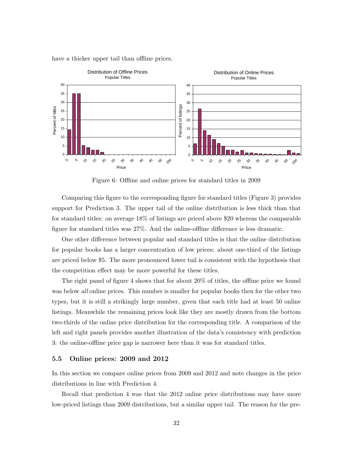

have a thicker upper tail than offline prices.

Figure 6: Offline and online prices for standard titles in 2009

Comparing this figure to the corresponding figure for standard titles (Figure 3) provides support for Prediction 3. The upper tail of the online distribution is less thick than that for standard titles: on average 18% of listings are priced above \$20 whereas the comparable figure for standard titles was 27%. And the online-offline difference is less dramatic.

One other difference between popular and standard titles is that the online distribution for popular books has a larger concentration of low prices: about one-third of the listings are priced below \$5. The more pronounced lower tail is consistent with the hypothesis that the competition effect may be more powerful for these titles.

The right panel of figure 4 shows that for about 20% of titles, the offline price we found was below *all* online prices. This number is smaller for popular books then for the other two types, but it is still a strikingly large number, given that each title had at least 50 online listings. Meanwhile the remaining prices look like they are mostly drawn from the bottom two-thirds of the online price distribution for the corresponding title. A comparison of the left and right panels provides another illustration of the data's consistency with prediction 3: the online-offline price gap is narrower here than it was for standard titles.

#### 5.5 Online prices: 2009 and 2012

In this section we compare online prices from 2009 and 2012 and note changes in the price distributions in line with Prediction 4.

Recall that prediction 4 was that the 2012 online price distributions may have more low-priced listings than 2009 distributions, but a similar upper tail. The reason for the pre-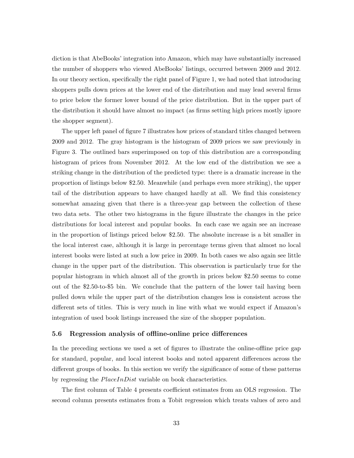diction is that AbeBooks' integration into Amazon, which may have substantially increased the number of shoppers who viewed AbeBooks' listings, occurred between 2009 and 2012. In our theory section, specifically the right panel of Figure 1, we had noted that introducing shoppers pulls down prices at the lower end of the distribution and may lead several firms to price below the former lower bound of the price distribution. But in the upper part of the distribution it should have almost no impact (as firms setting high prices mostly ignore the shopper segment).

The upper left panel of figure 7 illustrates how prices of standard titles changed between 2009 and 2012. The gray histogram is the histogram of 2009 prices we saw previously in Figure 3. The outlined bars superimposed on top of this distribution are a corresponding histogram of prices from November 2012. At the low end of the distribution we see a striking change in the distribution of the predicted type: there is a dramatic increase in the proportion of listings below \$2.50. Meanwhile (and perhaps even more striking), the upper tail of the distribution appears to have changed hardly at all. We find this consistency somewhat amazing given that there is a three-year gap between the collection of these two data sets. The other two histograms in the figure illustrate the changes in the price distributions for local interest and popular books. In each case we again see an increase in the proportion of listings priced below \$2.50. The absolute increase is a bit smaller in the local interest case, although it is large in percentage terms given that almost no local interest books were listed at such a low price in 2009. In both cases we also again see little change in the upper part of the distribution. This observation is particularly true for the popular histogram in which almost all of the growth in prices below \$2.50 seems to come out of the \$2.50-to-\$5 bin. We conclude that the pattern of the lower tail having been pulled down while the upper part of the distribution changes less is consistent across the different sets of titles. This is very much in line with what we would expect if Amazon's integration of used book listings increased the size of the shopper population.

#### 5.6 Regression analysis of offline-online price differences

In the preceding sections we used a set of figures to illustrate the online-offline price gap for standard, popular, and local interest books and noted apparent differences across the different groups of books. In this section we verify the significance of some of these patterns by regressing the *PlaceInDist* variable on book characteristics.

The first column of Table 4 presents coefficient estimates from an OLS regression. The second column presents estimates from a Tobit regression which treats values of zero and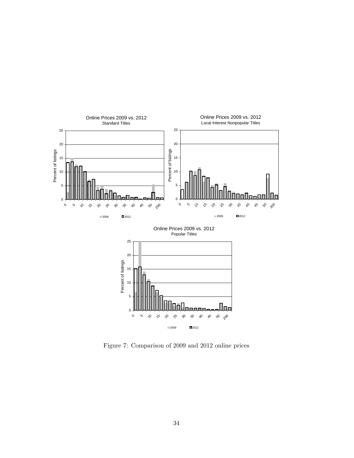

Figure 7: Comparison of 2009 and 2012 online prices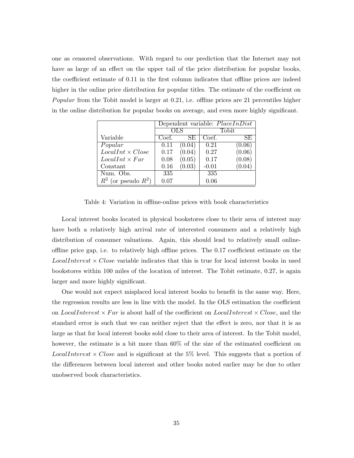one as censored observations. With regard to our prediction that the Internet may not have as large of an effect on the upper tail of the price distribution for popular books, the coefficient estimate of 0.11 in the first column indicates that offline prices are indeed higher in the online price distribution for popular titles. The estimate of the coefficient on Popular from the Tobit model is larger at 0.21, i.e. offline prices are 21 percentiles higher in the online distribution for popular books on average, and even more highly significant.

|                          | Dependent variable: $PlaceInDist$ |        |         |      |
|--------------------------|-----------------------------------|--------|---------|------|
|                          | OLS                               |        | Tobit   |      |
| Variable                 | Coef.                             | SE     | Coef.   | SE.  |
| Popular                  | 0.11                              | (0.04) | 0.21    | 0.06 |
| $LocalInt \times Close$  | 0.17                              | (0.04) | 0.27    | 0.06 |
| $LocalInt \times Far$    | 0.08                              | (0.05) | 0.17    | 0.08 |
| Constant                 | 0.16                              | (0.03) | $-0.01$ |      |
| Num. Obs.                | 335                               |        | 335     |      |
| $R^2$ (or pseudo $R^2$ ) | 0.07                              |        | 0.06    |      |

Table 4: Variation in offline-online prices with book characteristics

Local interest books located in physical bookstores close to their area of interest may have both a relatively high arrival rate of interested consumers and a relatively high distribution of consumer valuations. Again, this should lead to relatively small onlineoffline price gap, i.e. to relatively high offline prices. The 0.17 coefficient estimate on the *LocalInterest*  $\times$  *Close* variable indicates that this is true for local interest books in used bookstores within 100 miles of the location of interest. The Tobit estimate, 0.27, is again larger and more highly significant.

One would not expect misplaced local interest books to benefit in the same way. Here, the regression results are less in line with the model. In the OLS estimation the coefficient on LocalInterest  $\times$  Far is about half of the coefficient on LocalInterest  $\times$  Close, and the standard error is such that we can neither reject that the effect is zero, nor that it is as large as that for local interest books sold close to their area of interest. In the Tobit model, however, the estimate is a bit more than  $60\%$  of the size of the estimated coefficient on *LocalInterest*  $\times$  *Close* and is significant at the 5% level. This suggests that a portion of the differences between local interest and other books noted earlier may be due to other unobserved book characteristics.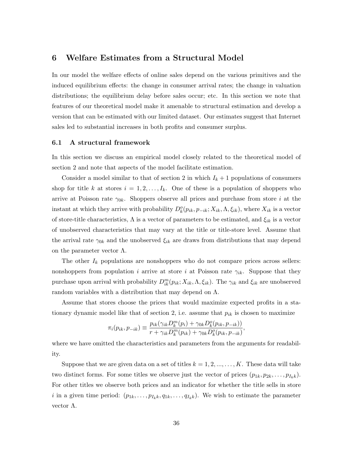### 6 Welfare Estimates from a Structural Model

In our model the welfare effects of online sales depend on the various primitives and the induced equilibrium effects: the change in consumer arrival rates; the change in valuation distributions; the equilibrium delay before sales occur; etc. In this section we note that features of our theoretical model make it amenable to structural estimation and develop a version that can be estimated with our limited dataset. Our estimates suggest that Internet sales led to substantial increases in both profits and consumer surplus.

#### 6.1 A structural framework

In this section we discuss an empirical model closely related to the theoretical model of section 2 and note that aspects of the model facilitate estimation.

Consider a model similar to that of section 2 in which  $I_k + 1$  populations of consumers shop for title k at stores  $i = 1, 2, \ldots, I_k$ . One of these is a population of shoppers who arrive at Poisson rate  $\gamma_{0k}$ . Shoppers observe all prices and purchase from store i at the instant at which they arrive with probability  $D_k^o(p_{ik}, p_{-ik}; X_{ik}, \Lambda, \xi_{ik})$ , where  $X_{ik}$  is a vector of store-title characteristics,  $\Lambda$  is a vector of parameters to be estimated, and  $\xi_{ik}$  is a vector of unobserved characteristics that may vary at the title or title-store level. Assume that the arrival rate  $\gamma_{0k}$  and the unobserved  $\xi_{ik}$  are draws from distributions that may depend on the parameter vector  $\Lambda$ .

The other  $I_k$  populations are nonshoppers who do not compare prices across sellers: nonshoppers from population *i* arrive at store *i* at Poisson rate  $\gamma_{ik}$ . Suppose that they purchase upon arrival with probability  $D_{ik}^m(p_{ik}; X_{ik}, \Lambda, \xi_{ik})$ . The  $\gamma_{ik}$  and  $\xi_{ik}$  are unobserved random variables with a distribution that may depend on  $\Lambda$ .

Assume that stores choose the prices that would maximize expected profits in a stationary dynamic model like that of section 2, i.e. assume that  $p_{ik}$  is chosen to maximize

$$
\pi_i(p_{ik}, p_{-ik}) \equiv \frac{p_{ik}(\gamma_{ik}D_k^m(p_i) + \gamma_{0k}D_k^o(p_{ik}, p_{-ik}))}{r + \gamma_{ik}D_k^m(p_{ik}) + \gamma_{0k}D_k^o(p_{ik}, p_{-ik})},
$$

where we have omitted the characteristics and parameters from the arguments for readability.

Suppose that we are given data on a set of titles  $k = 1, 2, ..., ..., K$ . These data will take two distinct forms. For some titles we observe just the vector of prices  $(p_{1k}, p_{2k}, \ldots, p_{I_kk})$ . For other titles we observe both prices and an indicator for whether the title sells in store i in a given time period:  $(p_{1k}, \ldots, p_{I_kk}, q_{1k}, \ldots, q_{I_kk})$ . We wish to estimate the parameter vector Λ.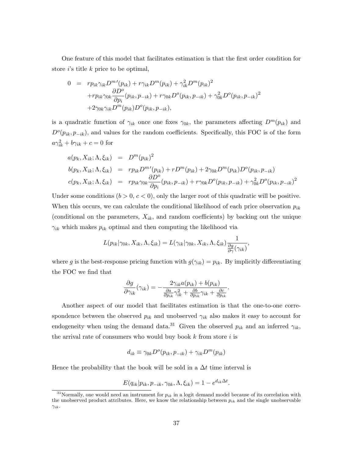One feature of this model that facilitates estimation is that the first order condition for store  $i$ 's title  $k$  price to be optimal,

$$
0 = r p_{ik} \gamma_{ik} D^{m'}(p_{ik}) + r \gamma_{ik} D^{m}(p_{ik}) + \gamma_{ik}^{2} D^{m}(p_{ik})^{2}
$$
  
+
$$
r p_{ik} \gamma_{0k} \frac{\partial D^{o}}{\partial p_{i}}(p_{ik}, p_{-ik}) + r \gamma_{0k} D^{o}(p_{ik}, p_{-ik}) + \gamma_{0k}^{2} D^{o}(p_{ik}, p_{-ik})^{2}
$$
  
+
$$
2 \gamma_{0k} \gamma_{ik} D^{m}(p_{ik}) D^{o}(p_{ik}, p_{-ik}),
$$

is a quadratic function of  $\gamma_{ik}$  once one fixes  $\gamma_{0k}$ , the parameters affecting  $D^m(p_{ik})$  and  $D^{o}(p_{ik}, p_{-ik})$ , and values for the random coefficients. Specifically, this FOC is of the form  $a\gamma_{ik}^2 + b\gamma_{ik} + c = 0$  for

$$
a(p_k, X_{ik}; \Lambda, \xi_{ik}) = D^m(p_{ik})^2
$$
  
\n
$$
b(p_k, X_{ik}; \Lambda, \xi_{ik}) = rp_{ik}D^{m'}(p_{ik}) + rD^m(p_{ik}) + 2\gamma_{0k}D^m(p_{ik})D^o(p_{ik}, p_{-ik})
$$
  
\n
$$
c(p_k, X_{ik}; \Lambda, \xi_{ik}) = rp_{ik}\gamma_{0k}\frac{\partial D^o}{\partial p_i}(p_{ik}, p_{-ik}) + r\gamma_{0k}D^o(p_{ik}, p_{-ik}) + \gamma_{0k}^2D^o(p_{ik}, p_{-ik})^2
$$

Under some conditions  $(b > 0, c < 0)$ , only the larger root of this quadratic will be positive. When this occurs, we can calculate the conditional likelihood of each price observation  $p_{ik}$ (conditional on the parameters,  $X_{ik}$ , and random coefficients) by backing out the unique  $\gamma_{ik}$  which makes  $p_{ik}$  optimal and then computing the likelihood via

$$
L(p_{ik}|\gamma_{0k}, X_{ik}, \Lambda, \xi_{ik}) = L(\gamma_{ik}|\gamma_{0k}, X_{ik}, \Lambda, \xi_{ik}) \frac{1}{\frac{\partial g}{\partial \gamma}(\gamma_{ik})},
$$

where g is the best-response pricing function with  $g(\gamma_{ik}) = p_{ik}$ . By implicitly differentiating the FOC we find that

$$
\frac{\partial g}{\partial \gamma_{ik}}(\gamma_{ik}) = -\frac{2\gamma_{ik}a(p_{ik}) + b(p_{ik})}{\frac{\partial a}{\partial p_{ik}}\gamma_{ik}^2 + \frac{\partial b}{\partial p_{ik}}\gamma_{ik} + \frac{\partial c}{\partial p_{ik}}}.
$$

Another aspect of our model that facilitates estimation is that the one-to-one correspondence between the observed  $p_{ik}$  and unobserved  $\gamma_{ik}$  also makes it easy to account for endogeneity when using the demand data.<sup>31</sup> Given the observed  $p_{ik}$  and an inferred  $\gamma_{ik}$ , the arrival rate of consumers who would buy book  $k$  from store  $i$  is

$$
d_{ik} \equiv \gamma_{0k} D^{o}(p_{ik}, p_{-ik}) + \gamma_{ik} D^{m}(p_{ik})
$$

Hence the probability that the book will be sold in a  $\Delta t$  time interval is

$$
E(q_{ik}|p_{ik}, p_{-ik}, \gamma_{0k}, \Lambda, \xi_{ik}) = 1 - e^{d_{ik}\Delta t}.
$$

<sup>&</sup>lt;sup>31</sup>Normally, one would need an instrument for  $p_{ik}$  in a logit demand model because of its correlation with the unobserved product attributes. Here, we know the relationship between  $p_{ik}$  and the single unobservable  $\gamma_{ik}$ .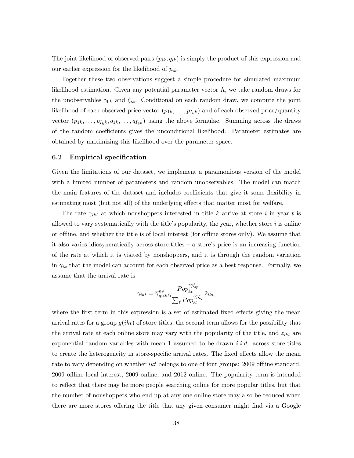The joint likelihood of observed pairs  $(p_{ik}, q_{ik})$  is simply the product of this expression and our earlier expression for the likelihood of  $p_{ik}$ .

Together these two observations suggest a simple procedure for simulated maximum likelihood estimation. Given any potential parameter vector  $\Lambda$ , we take random draws for the unobservables  $\gamma_{0k}$  and  $\xi_{ik}$ . Conditional on each random draw, we compute the joint likelihood of each observed price vector  $(p_{1k}, \ldots, p_{I_kk})$  and of each observed price/quantity vector  $(p_{1k}, \ldots, p_{I_kk}, q_{1k}, \ldots, q_{I_kk})$  using the above formulae. Summing across the draws of the random coefficients gives the unconditional likelihood. Parameter estimates are obtained by maximizing this likelihood over the parameter space.

#### 6.2 Empirical specification

Given the limitations of our dataset, we implement a parsimonious version of the model with a limited number of parameters and random unobservables. The model can match the main features of the dataset and includes coefficients that give it some flexibility in estimating most (but not all) of the underlying effects that matter most for welfare.

The rate  $\gamma_{ikt}$  at which nonshoppers interested in title k arrive at store i in year t is allowed to vary systematically with the title's popularity, the year, whether store  $i$  is online or offline, and whether the title is of local interest (for offline stores only). We assume that it also varies idiosyncratically across store-titles – a store's price is an increasing function of the rate at which it is visited by nonshoppers, and it is through the random variation in  $\gamma_{ik}$  that the model can account for each observed price as a best response. Formally, we assume that the arrival rate is

$$
\gamma_{ikt} = \overline{\gamma}_{g(ikt)}^{ns} \frac{Pop_{kt}^{\gamma_{Pop}^{ns}}}{\sum_{\ell} Pop_{\ell t}^{\gamma_{Pop}^{ns}}}\tilde{z}_{ikt},
$$

where the first term in this expression is a set of estimated fixed effects giving the mean arrival rates for a group  $g(ikt)$  of store titles, the second term allows for the possibility that the arrival rate at each online store may vary with the popularity of the title, and  $\tilde{z}_{ikt}$  are exponential random variables with mean 1 assumed to be drawn *i.i.d.* across store-titles to create the heterogeneity in store-specific arrival rates. The fixed effects allow the mean rate to vary depending on whether *ikt* belongs to one of four groups: 2009 offline standard, 2009 offline local interest, 2009 online, and 2012 online. The popularity term is intended to reflect that there may be more people searching online for more popular titles, but that the number of nonshoppers who end up at any one online store may also be reduced when there are more stores offering the title that any given consumer might find via a Google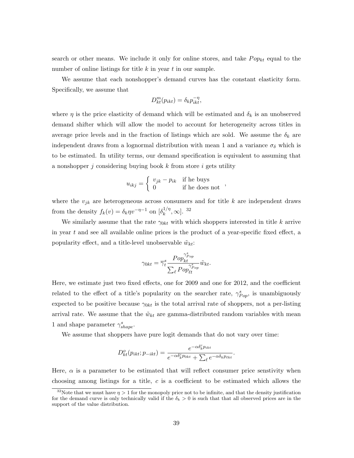search or other means. We include it only for online stores, and take  $Pop_{kt}$  equal to the number of online listings for title  $k$  in year  $t$  in our sample.

We assume that each nonshopper's demand curves has the constant elasticity form. Specifically, we assume that

$$
D_{kt}^m(p_{ikt}) = \delta_k p_{ikt}^{-\eta},
$$

where  $\eta$  is the price elasticity of demand which will be estimated and  $\delta_k$  is an unobserved demand shifter which will allow the model to account for heterogeneity across titles in average price levels and in the fraction of listings which are sold. We assume the  $\delta_k$  are independent draws from a lognormal distribution with mean 1 and a variance  $\sigma_{\delta}$  which is to be estimated. In utility terms, our demand specification is equivalent to assuming that a nonshopper j considering buying book k from store i gets utility

$$
u_{ikj} = \begin{cases} v_{jk} - p_{ik} & \text{if he buys} \\ 0 & \text{if he does not} \end{cases}
$$

where the  $v_{jk}$  are heterogeneous across consumers and for title k are independent draws from the density  $f_k(v) = \delta_k \eta v^{-\eta-1}$  on  $\left[\delta_k^{1/\eta}\right]$  $\binom{1/\eta}{k}$ ,  $\infty$ . 32

We similarly assume that the rate  $\gamma_{0kt}$  with which shoppers interested in title k arrive in year t and see all available online prices is the product of a year-specific fixed effect, a popularity effect, and a title-level unobservable  $\tilde{w}_{kt}$ :

$$
\gamma_{0kt} = \overline{\gamma}_t^s \frac{Pop_{kt}^{\gamma_{pop}^s}}{\sum_{\ell} Pop_{\ell t}^{\gamma_{pop}^s}} \tilde{w}_{kt}.
$$

Here, we estimate just two fixed effects, one for 2009 and one for 2012, and the coefficient related to the effect of a title's popularity on the searcher rate,  $\gamma_{Pop}^s$ , is unambiguously expected to be positive because  $\gamma_{0kt}$  is the total arrival rate of shoppers, not a per-listing arrival rate. We assume that the  $\tilde{w}_{kt}$  are gamma-distributed random variables with mean 1 and shape parameter  $\gamma_{shape}^s$ .

We assume that shoppers have pure logit demands that do not vary over time:

$$
D_{kt}^{o}(p_{ikt}; p_{-ikt}) = \frac{e^{-\alpha \delta_k^c p_{ikt}}}{e^{-\alpha \delta_k^c p_{0kt}} + \sum_{\ell} e^{-\alpha \delta_k^c p_{\ellkt}}}.
$$

Here,  $\alpha$  is a parameter to be estimated that will reflect consumer price senstivity when choosing among listings for a title,  $c$  is a coefficient to be estimated which allows the

<sup>&</sup>lt;sup>32</sup>Note that we must have  $\eta > 1$  for the monopoly price not to be infinite, and that the density justification for the demand curve is only technically valid if the  $\delta_k > 0$  is such that that all observed prices are in the support of the value distribution.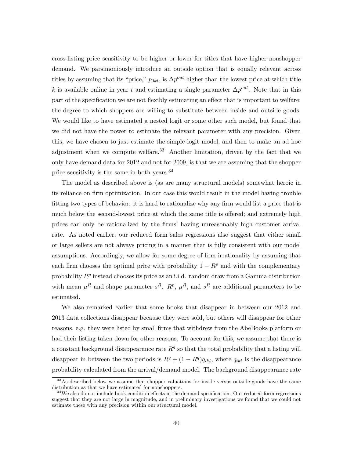cross-listing price sensitivity to be higher or lower for titles that have higher nonshopper demand. We parsimoniously introduce an outside option that is equally relevant across titles by assuming that its "price,"  $p_{0kt}$ , is  $\Delta p^{out}$  higher than the lowest price at which title k is available online in year t and estimating a single parameter  $\Delta p^{out}$ . Note that in this part of the specification we are not flexibly estimating an effect that is important to welfare: the degree to which shoppers are willing to substitute between inside and outside goods. We would like to have estimated a nested logit or some other such model, but found that we did not have the power to estimate the relevant parameter with any precision. Given this, we have chosen to just estimate the simple logit model, and then to make an ad hoc adjustment when we compute welfare.<sup>33</sup> Another limitation, driven by the fact that we only have demand data for 2012 and not for 2009, is that we are assuming that the shopper price sensitivity is the same in both years.<sup>34</sup>

The model as described above is (as are many structural models) somewhat heroic in its reliance on firm optimization. In our case this would result in the model having trouble fitting two types of behavior: it is hard to rationalize why any firm would list a price that is much below the second-lowest price at which the same title is offered; and extremely high prices can only be rationalized by the firms' having unreasonably high customer arrival rate. As noted earlier, our reduced form sales regressions also suggest that either small or large sellers are not always pricing in a manner that is fully consistent with our model assumptions. Accordingly, we allow for some degree of firm irrationality by assuming that each firm chooses the optimal price with probability  $1 - R^p$  and with the complementary probability  $R^p$  instead chooses its price as an i.i.d. random draw from a Gamma distribution with mean  $\mu^R$  and shape parameter  $s^R$ .  $R^p$ ,  $\mu^R$ , and  $s^R$  are additional parameters to be estimated.

We also remarked earlier that some books that disappear in between our 2012 and 2013 data collections disappear because they were sold, but others will disappear for other reasons, e.g. they were listed by small firms that withdrew from the AbeBooks platform or had their listing taken down for other reasons. To account for this, we assume that there is a constant background disappearance rate  $R<sup>q</sup>$  so that the total probability that a listing will disappear in between the two periods is  $R^{q} + (1 - R^{q})q_{ikt}$ , where  $q_{ikt}$  is the disappearance probability calculated from the arrival/demand model. The background disappearance rate

<sup>&</sup>lt;sup>33</sup>As described below we assume that shopper valuations for inside versus outside goods have the same distribution as that we have estimated for nonshoppers.

<sup>&</sup>lt;sup>34</sup>We also do not include book condition effects in the demand specification. Our reduced-form regressions suggest that they are not large in magnitude, and in preliminary investigations we found that we could not estimate these with any precision within our structural model.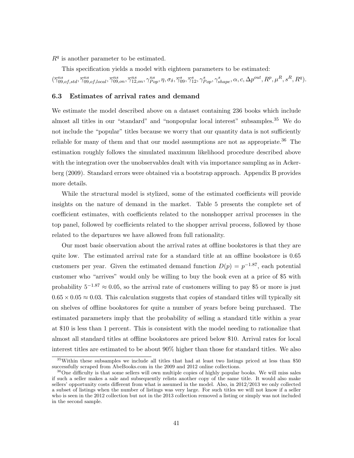$R<sup>q</sup>$  is another parameter to be estimated.

This specification yields a model with eighteen parameters to be estimated:  $(\overline{\gamma}_{09, of, std}^{ns}, \overline{\gamma}_{09, of, local}^{ns}, \overline{\gamma}_{09, on}^{ns}, \overline{\gamma}_{12, on}^{ns}, \eta, \sigma_{\delta}, \overline{\gamma}_{09}^{s}, \overline{\gamma}_{12}^{s}, \gamma_{Pop}^{s}, \gamma_{shape}^{s}, \alpha, c, \Delta p^{out}, R^p, \mu^R, s^R, R^q).$ 

#### 6.3 Estimates of arrival rates and demand

We estimate the model described above on a dataset containing 236 books which include almost all titles in our "standard" and "nonpopular local interest" subsamples.<sup>35</sup> We do not include the "popular" titles because we worry that our quantity data is not sufficiently reliable for many of them and that our model assumptions are not as appropriate.<sup>36</sup> The estimation roughly follows the simulated maximum likelihood procedure described above with the integration over the unobservables dealt with via importance sampling as in Ackerberg (2009). Standard errors were obtained via a bootstrap approach. Appendix B provides more details.

While the structural model is stylized, some of the estimated coefficients will provide insights on the nature of demand in the market. Table 5 presents the complete set of coefficient estimates, with coefficients related to the nonshopper arrival processes in the top panel, followed by coefficients related to the shopper arrival process, followed by those related to the departures we have allowed from full rationality.

Our most basic observation about the arrival rates at offline bookstores is that they are quite low. The estimated arrival rate for a standard title at an offline bookstore is 0.65 customers per year. Given the estimated demand function  $D(p) = p^{-1.87}$ , each potential customer who "arrives" would only be willing to buy the book even at a price of \$5 with probability  $5^{-1.87} \approx 0.05$ , so the arrival rate of customers willing to pay \$5 or more is just  $0.65 \times 0.05 \approx 0.03$ . This calculation suggests that copies of standard titles will typically sit on shelves of offline bookstores for quite a number of years before being purchased. The estimated parameters imply that the probability of selling a standard title within a year at \$10 is less than 1 percent. This is consistent with the model needing to rationalize that almost all standard titles at offline bookstores are priced below \$10. Arrival rates for local interest titles are estimated to be about 90% higher than those for standard titles. We also

<sup>35</sup>Within these subsamples we include all titles that had at least two listings priced at less than \$50 successfully scraped from AbeBooks.com in the 2009 and 2012 online collections.

<sup>&</sup>lt;sup>36</sup>One difficulty is that some sellers will own multiple copies of highly popular books. We will miss sales if such a seller makes a sale and subsequently relists another copy of the same title. It would also make sellers' opportunity costs different from what is assumed in the model. Also, in 2012/2013 we only collected a subset of listings when the number of listings was very large. For such titles we will not know if a seller who is seen in the 2012 collection but not in the 2013 collection removed a listing or simply was not included in the second sample.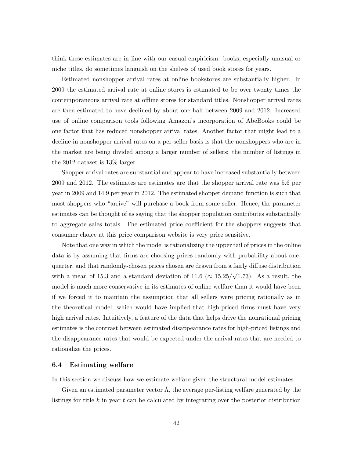think these estimates are in line with our casual empiricism: books, especially unusual or niche titles, do sometimes languish on the shelves of used book stores for years.

Estimated nonshopper arrival rates at online bookstores are substantially higher. In 2009 the estimated arrival rate at online stores is estimated to be over twenty times the contemporaneous arrival rate at offline stores for standard titles. Nonshopper arrival rates are then estimated to have declined by about one half between 2009 and 2012. Increased use of online comparison tools following Amazon's incorporation of AbeBooks could be one factor that has reduced nonshopper arrival rates. Another factor that might lead to a decline in nonshopper arrival rates on a per-seller basis is that the nonshoppers who are in the market are being divided among a larger number of sellers: the number of listings in the 2012 dataset is 13% larger.

Shopper arrival rates are substantial and appear to have increased substantially between 2009 and 2012. The estimates are estimates are that the shopper arrival rate was 5.6 per year in 2009 and 14.9 per year in 2012. The estimated shopper demand function is such that most shoppers who "arrive" will purchase a book from some seller. Hence, the parameter estimates can be thought of as saying that the shopper population contributes substantially to aggregate sales totals. The estimated price coefficient for the shoppers suggests that consumer choice at this price comparison website is very price sensitive.

Note that one way in which the model is rationalizing the upper tail of prices in the online data is by assuming that firms are choosing prices randomly with probability about onequarter, and that randomly-chosen prices chosen are drawn from a fairly diffuse distribution with a mean of 15.3 and a standard deviation of 11.6 ( $\approx$  15.25/ √ 1.73). As a result, the model is much more conservative in its estimates of online welfare than it would have been if we forced it to maintain the assumption that all sellers were pricing rationally as in the theoretical model, which would have implied that high-priced firms must have very high arrival rates. Intuitively, a feature of the data that helps drive the nonrational pricing estimates is the contrast between estimated disappearance rates for high-priced listings and the disappearance rates that would be expected under the arrival rates that are needed to rationalize the prices.

#### 6.4 Estimating welfare

In this section we discuss how we estimate welfare given the structural model estimates.

Given an estimated parameter vector  $\Lambda$ , the average per-listing welfare generated by the listings for title  $k$  in year  $t$  can be calculated by integrating over the posterior distribution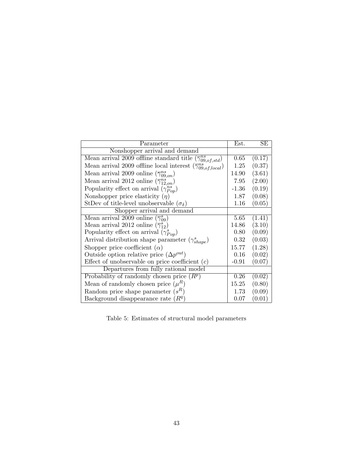| Parameter                                                                           | Est.    | SЕ     |
|-------------------------------------------------------------------------------------|---------|--------|
| Nonshopper arrival and demand                                                       |         |        |
| Mean arrival 2009 offline standard title $(\overline{\gamma}_{09, of, std}^{ns})$   | 0.65    | (0.17) |
| Mean arrival 2009 offline local interest $(\overline{\gamma}_{09, of, local}^{ns})$ | 1.25    | (0.37) |
| Mean arrival 2009 online $(\overline{\gamma}_{09,on}^{ns})$                         | 14.90   | (3.61) |
| Mean arrival 2012 online $(\overline{\gamma}_{12,on}^{ns})$                         | 7.95    | (2.00) |
| Popularity effect on arrival $(\gamma_{Pon}^{ns})$                                  | $-1.36$ | (0.19) |
| Nonshopper price elasticity $(\eta)$                                                | 1.87    | (0.08) |
| StDev of title-level unobservable $(\sigma_{\delta})$                               | 1.16    | (0.05) |
| Shopper arrival and demand                                                          |         |        |
| Mean arrival 2009 online $(\overline{\gamma}_{09}^s)$                               | 5.65    | (1.41) |
| Mean arrival 2012 online $(\overline{\gamma}_{12}^s)$                               | 14.86   | (3.10) |
| Popularity effect on arrival $(\gamma_{Pop}^s)$                                     | 0.80    | (0.09) |
| Arrival distribution shape parameter $(\gamma_{shape}^s)$                           | 0.32    | (0.03) |
| Shopper price coefficient $(\alpha)$                                                | 15.77   | (1.28) |
| Outside option relative price $(\Delta p^{out})$                                    | 0.16    | (0.02) |
| Effect of unobservable on price coefficient $(c)$                                   | $-0.91$ | (0.07) |
| Departures from fully rational model                                                |         |        |
| Probability of randomly chosen price $(R^p)$                                        | 0.26    | (0.02) |
| Mean of randomly chosen price $(\mu^R)$                                             | 15.25   | (0.80) |
| Random price shape parameter $(s^R)$                                                | 1.73    | (0.09) |
| Background disappearance rate $(Rq)$                                                | 0.07    | (0.01) |

Table 5: Estimates of structural model parameters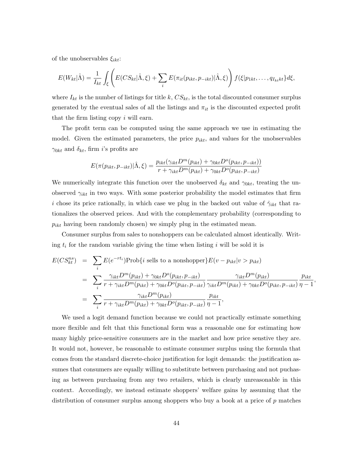of the unobservables  $\xi_{ikt}$ :

$$
E(W_{kt}|\hat{\Lambda}) = \frac{1}{I_{kt}} \int_{\xi} \left( E(CS_{kt}|\hat{\Lambda}, \xi) + \sum_{i} E(\pi_{it}(p_{ikt}, p_{-ikt})|\hat{\Lambda}, \xi) \right) f(\xi|p_{1kt}, \dots, q_{I_{kt}kt}\} d\xi,
$$

where  $I_{kt}$  is the number of listings for title k,  $CS_{kt}$ , is the total discounted consumer surplus generated by the eventual sales of all the listings and  $\pi_{it}$  is the discounted expected profit that the firm listing copy i will earn.

The profit term can be computed using the same approach we use in estimating the model. Given the estimated parameters, the price  $p_{ikt}$ , and values for the unobservables  $\gamma_{0kt}$  and  $\delta_{kt}$ , firm *i*'s profits are

$$
E(\pi(p_{ikt}, p_{-ikt}) | \hat{\Lambda}, \xi) = \frac{p_{ikt}(\gamma_{ikt}D^m(p_{ikt}) + \gamma_{0kt}D^o(p_{ikt}, p_{-ikt}))}{r + \gamma_{ikt}D^m(p_{ikt}) + \gamma_{0kt}D^o(p_{ikt}, p_{-ikt})}
$$

We numerically integrate this function over the unobserved  $\delta_{kt}$  and  $\gamma_{0kt}$ , treating the unobserved  $\gamma_{ikt}$  in two ways. With some posterior probability the model estimates that firm i chose its price rationally, in which case we plug in the backed out value of  $\hat{\gamma}_{ikt}$  that rationalizes the observed prices. And with the complementary probability (corresponding to  $p_{ikt}$  having been randomly chosen) we simply plug in the estimated mean.

Consumer surplus from sales to nonshoppers can be calculated almost identically. Writing  $t_i$  for the random variable giving the time when listing i will be sold it is

$$
E(CS_{kt}^{ns}) = \sum_{i} E(e^{-rt_i}) \text{Prob}\{i \text{ sells to a nonshopper}\} E(v - p_{ikt}|v > p_{ikt})
$$
  
= 
$$
\sum_{i} \frac{\gamma_{ikt} D^m(p_{ikt}) + \gamma_{0kt} D^o(p_{ikt}, p_{-ikt})}{r + \gamma_{ikt} D^m(p_{ikt}) + \gamma_{0kt} D^o(p_{ikt}, p_{-ikt})} \frac{\gamma_{ikt} D^m(p_{ikt})}{\gamma_{ikt} D^m(p_{ikt}) + \gamma_{0kt} D^o(p_{ikt}, p_{-ikt})} \frac{p_{ikt}}{\eta - 1},
$$
  
= 
$$
\sum_{i} \frac{\gamma_{ikt} D^m(p_{ikt})}{r + \gamma_{ikt} D^m(p_{ikt}) + \gamma_{0kt} D^o(p_{ikt}, p_{-ikt})} \frac{p_{ikt}}{\eta - 1},
$$

We used a logit demand function because we could not practically estimate something more flexible and felt that this functional form was a reasonable one for estimating how many highly price-sensitive consumers are in the market and how price senstive they are. It would not, however, be reasonable to estimate consumer surplus using the formula that comes from the standard discrete-choice justification for logit demands: the justification assumes that consumers are equally willing to substitute between purchasing and not puchasing as between purchasing from any two retailers, which is clearly unreasonable in this context. Accordingly, we instead estimate shoppers' welfare gains by assuming that the distribution of consumer surplus among shoppers who buy a book at a price of p matches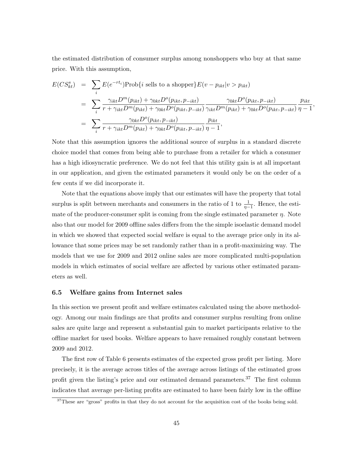the estimated distribution of consumer surplus among nonshoppers who buy at that same price. With this assumption,

$$
E(CS_{kt}^{s}) = \sum_{i} E(e^{-rt_{i}}) \text{Prob}\{i \text{ sells to a shopper}\} E(v - p_{ikt}|v > p_{ikt})
$$
  
= 
$$
\sum_{i} \frac{\gamma_{ikt} D^{m}(p_{ikt}) + \gamma_{0kt} D^{o}(p_{ikt}, p_{-ikt})}{r + \gamma_{ikt} D^{m}(p_{ikt}) + \gamma_{0kt} D^{o}(p_{ikt}, p_{-ikt})} \frac{\gamma_{0kt} D^{o}(p_{ikt}, p_{-ikt})}{\gamma_{ikt} D^{m}(p_{ikt}) + \gamma_{0kt} D^{o}(p_{ikt}, p_{-ikt})} \frac{p_{ikt}}{\eta - 1},
$$
  
= 
$$
\sum_{i} \frac{\gamma_{0kt} D^{o}(p_{ikt}, p_{-ikt})}{r + \gamma_{ikt} D^{m}(p_{ikt}) + \gamma_{0kt} D^{o}(p_{ikt}, p_{-ikt})} \frac{p_{ikt}}{\eta - 1},
$$

Note that this assumption ignores the additional source of surplus in a standard discrete choice model that comes from being able to purchase from a retailer for which a consumer has a high idiosyncratic preference. We do not feel that this utility gain is at all important in our application, and given the estimated parameters it would only be on the order of a few cents if we did incorporate it.

Note that the equations above imply that our estimates will have the property that total surplus is split between merchants and consumers in the ratio of 1 to  $\frac{1}{\eta-1}$ . Hence, the estimate of the producer-consumer split is coming from the single estimated parameter  $\eta$ . Note also that our model for 2009 offline sales differs from the the simple isoelastic demand model in which we showed that expected social welfare is equal to the average price only in its allowance that some prices may be set randomly rather than in a profit-maximizing way. The models that we use for 2009 and 2012 online sales are more complicated multi-population models in which estimates of social welfare are affected by various other estimated parameters as well.

#### 6.5 Welfare gains from Internet sales

In this section we present profit and welfare estimates calculated using the above methodology. Among our main findings are that profits and consumer surplus resulting from online sales are quite large and represent a substantial gain to market participants relative to the offline market for used books. Welfare appears to have remained roughly constant between 2009 and 2012.

The first row of Table 6 presents estimates of the expected gross profit per listing. More precisely, it is the average across titles of the average across listings of the estimated gross profit given the listing's price and our estimated demand parameters.<sup>37</sup> The first column indicates that average per-listing profits are estimated to have been fairly low in the offline

<sup>&</sup>lt;sup>37</sup>These are "gross" profits in that they do not account for the acquisition cost of the books being sold.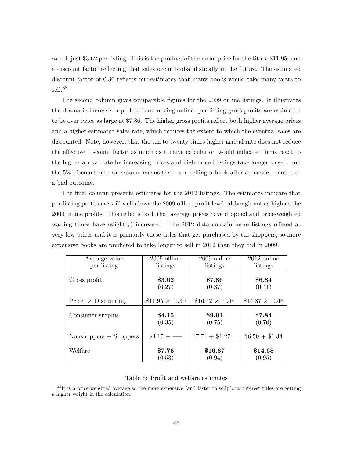world, just \$3.62 per listing. This is the product of the mean price for the titles, \$11.95, and a discount factor reflecting that sales occur probabilistically in the future. The estimated discount factor of 0.30 reflects our estimates that many books would take many years to sell.<sup>38</sup>

The second column gives comparable figures for the 2009 online listings. It illustrates the dramatic increase in profits from moving online: per listing gross profits are estimated to be over twice as large at \$7.86. The higher gross profits reflect both higher average prices and a higher estimated sales rate, which reduces the extent to which the eventual sales are discounted. Note, however, that the ten to twenty times higher arrival rate does not reduce the effective discount factor as much as a naive calculation would indicate: firms react to the higher arrival rate by increasing prices and high-priced listings take longer to sell; and the 5% discount rate we assume means that even selling a book after a decade is not such a bad outcome.

The final column presents estimates for the 2012 listings. The estimates indicate that per-listing profits are still well above the 2009 offline profit level, although not as high as the 2009 online profits. This reflects both that average prices have dropped and price-weighted waiting times have (slightly) increased. The 2012 data contain more listings offered at very low prices and it is primarily these titles that get purchased by the shoppers, so more expensive books are predicted to take longer to sell in 2012 than they did in 2009.

| Average value              | $2009$ offline       | 2009 online          | $2012$ online        |
|----------------------------|----------------------|----------------------|----------------------|
| per listing                | listings             | listings             | listings             |
| Gross profit               | \$3.62<br>(0.27)     | \$7.86<br>(0.37)     | \$6.84<br>(0.41)     |
| Price $\times$ Discounting | $$11.95 \times 0.30$ | $$16.42 \times 0.48$ | $$14.87 \times 0.46$ |
| Consumer surplus           | \$4.15<br>(0.35)     | \$9.01<br>(0.75)     | \$7.84<br>(0.70)     |
| $Nonshoppers + Shoppers$   | $\$4.15 +$ —         | $$7.74 + $1.27$      | $$6.50 + $1.34$      |
| Welfare                    | \$7.76<br>(0.53)     | \$16.87<br>(0.94)    | \$14.68<br>(0.95)    |

#### Table 6: Profit and welfare estimates

<sup>38</sup>It is a price-weighted average so the more expensive (and faster to sell) local interest titles are getting a higher weight in the calculation.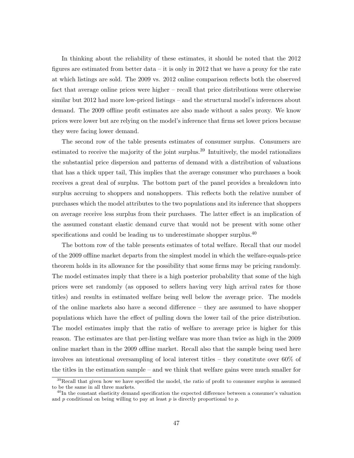In thinking about the reliability of these estimates, it should be noted that the 2012 figures are estimated from better data – it is only in 2012 that we have a proxy for the rate at which listings are sold. The 2009 vs. 2012 online comparison reflects both the observed fact that average online prices were higher – recall that price distributions were otherwise similar but 2012 had more low-priced listings – and the structural model's inferences about demand. The 2009 offline profit estimates are also made without a sales proxy. We know prices were lower but are relying on the model's inference that firms set lower prices because they were facing lower demand.

The second row of the table presents estimates of consumer surplus. Consumers are estimated to receive the majority of the joint surplus.<sup>39</sup> Intuitively, the model rationalizes the substantial price dispersion and patterns of demand with a distribution of valuations that has a thick upper tail, This implies that the average consumer who purchases a book receives a great deal of surplus. The bottom part of the panel provides a breakdown into surplus accruing to shoppers and nonshoppers. This reflects both the relative number of purchases which the model attributes to the two populations and its inference that shoppers on average receive less surplus from their purchases. The latter effect is an implication of the assumed constant elastic demand curve that would not be present with some other specifications and could be leading us to underestimate shopper surplus.<sup>40</sup>

The bottom row of the table presents estimates of total welfare. Recall that our model of the 2009 offline market departs from the simplest model in which the welfare-equals-price theorem holds in its allowance for the possibility that some firms may be pricing randomly. The model estimates imply that there is a high posterior probability that some of the high prices were set randomly (as opposed to sellers having very high arrival rates for those titles) and results in estimated welfare being well below the average price. The models of the online markets also have a second difference – they are assumed to have shopper populations which have the effect of pulling down the lower tail of the price distribution. The model estimates imply that the ratio of welfare to average price is higher for this reason. The estimates are that per-listing welfare was more than twice as high in the 2009 online market than in the 2009 offline market. Recall also that the sample being used here involves an intentional oversampling of local interest titles – they constitute over 60% of the titles in the estimation sample – and we think that welfare gains were much smaller for

 $39$ Recall that given how we have specified the model, the ratio of profit to consumer surplus is assumed to be the same in all three markets.

<sup>&</sup>lt;sup>40</sup>In the constant elasticity demand specification the expected difference between a consumer's valuation and  $p$  conditional on being willing to pay at least  $p$  is directly proportional to  $p$ .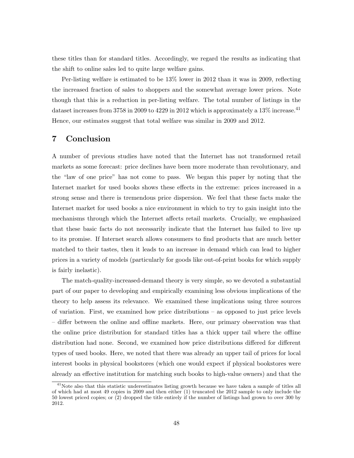these titles than for standard titles. Accordingly, we regard the results as indicating that the shift to online sales led to quite large welfare gains.

Per-listing welfare is estimated to be 13% lower in 2012 than it was in 2009, reflecting the increased fraction of sales to shoppers and the somewhat average lower prices. Note though that this is a reduction in per-listing welfare. The total number of listings in the dataset increases from 3758 in 2009 to 4229 in 2012 which is approximately a  $13\%$  increase.<sup>41</sup> Hence, our estimates suggest that total welfare was similar in 2009 and 2012.

## 7 Conclusion

A number of previous studies have noted that the Internet has not transformed retail markets as some forecast: price declines have been more moderate than revolutionary, and the "law of one price" has not come to pass. We began this paper by noting that the Internet market for used books shows these effects in the extreme: prices increased in a strong sense and there is tremendous price dispersion. We feel that these facts make the Internet market for used books a nice environment in which to try to gain insight into the mechanisms through which the Internet affects retail markets. Crucially, we emphasized that these basic facts do not necessarily indicate that the Internet has failed to live up to its promise. If Internet search allows consumers to find products that are much better matched to their tastes, then it leads to an increase in demand which can lead to higher prices in a variety of models (particularly for goods like out-of-print books for which supply is fairly inelastic).

The match-quality-increased-demand theory is very simple, so we devoted a substantial part of our paper to developing and empirically examining less obvious implications of the theory to help assess its relevance. We examined these implications using three sources of variation. First, we examined how price distributions – as opposed to just price levels – differ between the online and offline markets. Here, our primary observation was that the online price distribution for standard titles has a thick upper tail where the offline distribution had none. Second, we examined how price distributions differed for different types of used books. Here, we noted that there was already an upper tail of prices for local interest books in physical bookstores (which one would expect if physical bookstores were already an effective institution for matching such books to high-value owners) and that the

<sup>&</sup>lt;sup>41</sup>Note also that this statistic underestimates listing growth because we have taken a sample of titles all of which had at most 49 copies in 2009 and then either (1) truncated the 2012 sample to only include the 50 lowest priced copies; or (2) dropped the title entirely if the number of listings had grown to over 300 by 2012.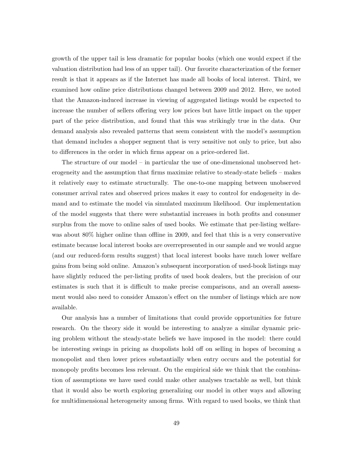growth of the upper tail is less dramatic for popular books (which one would expect if the valuation distribution had less of an upper tail). Our favorite characterization of the former result is that it appears as if the Internet has made all books of local interest. Third, we examined how online price distributions changed between 2009 and 2012. Here, we noted that the Amazon-induced increase in viewing of aggregated listings would be expected to increase the number of sellers offering very low prices but have little impact on the upper part of the price distribution, and found that this was strikingly true in the data. Our demand analysis also revealed patterns that seem consistent with the model's assumption that demand includes a shopper segment that is very sensitive not only to price, but also to differences in the order in which firms appear on a price-ordered list.

The structure of our model – in particular the use of one-dimensional unobserved heterogeneity and the assumption that firms maximize relative to steady-state beliefs – makes it relatively easy to estimate structurally. The one-to-one mapping between unobserved consumer arrival rates and observed prices makes it easy to control for endogeneity in demand and to estimate the model via simulated maximum likelihood. Our implementation of the model suggests that there were substantial increases in both profits and consumer surplus from the move to online sales of used books. We estimate that per-listing welfarewas about 80% higher online than offline in 2009, and feel that this is a very conservative estimate because local interest books are overrepresented in our sample and we would argue (and our reduced-form results suggest) that local interest books have much lower welfare gains from being sold online. Amazon's subsequent incorporation of used-book listings may have slightly reduced the per-listing profits of used book dealers, but the precision of our estimates is such that it is difficult to make precise comparisons, and an overall assessment would also need to consider Amazon's effect on the number of listings which are now available.

Our analysis has a number of limitations that could provide opportunities for future research. On the theory side it would be interesting to analyze a similar dynamic pricing problem without the steady-state beliefs we have imposed in the model: there could be interesting swings in pricing as duopolists hold off on selling in hopes of becoming a monopolist and then lower prices substantially when entry occurs and the potential for monopoly profits becomes less relevant. On the empirical side we think that the combination of assumptions we have used could make other analyses tractable as well, but think that it would also be worth exploring generalizing our model in other ways and allowing for multidimensional heterogeneity among firms. With regard to used books, we think that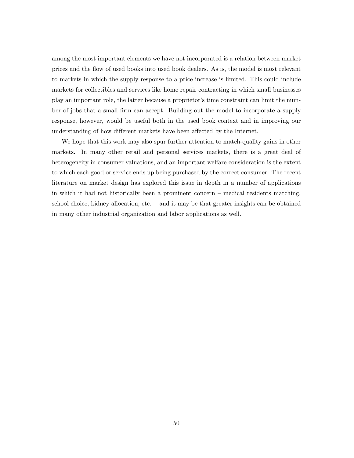among the most important elements we have not incorporated is a relation between market prices and the flow of used books into used book dealers. As is, the model is most relevant to markets in which the supply response to a price increase is limited. This could include markets for collectibles and services like home repair contracting in which small businesses play an important role, the latter because a proprietor's time constraint can limit the number of jobs that a small firm can accept. Building out the model to incorporate a supply response, however, would be useful both in the used book context and in improving our understanding of how different markets have been affected by the Internet.

We hope that this work may also spur further attention to match-quality gains in other markets. In many other retail and personal services markets, there is a great deal of heterogeneity in consumer valuations, and an important welfare consideration is the extent to which each good or service ends up being purchased by the correct consumer. The recent literature on market design has explored this issue in depth in a number of applications in which it had not historically been a prominent concern – medical residents matching, school choice, kidney allocation, etc. – and it may be that greater insights can be obtained in many other industrial organization and labor applications as well.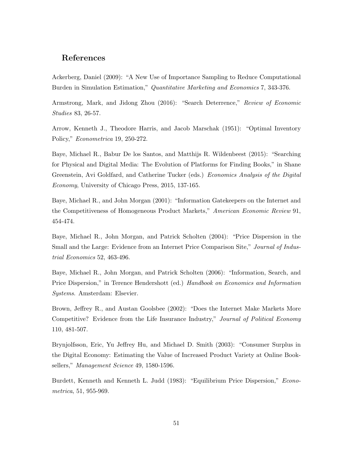# References

Ackerberg, Daniel (2009): "A New Use of Importance Sampling to Reduce Computational Burden in Simulation Estimation," Quantitative Marketing and Economics 7, 343-376.

Armstrong, Mark, and Jidong Zhou (2016): "Search Deterrence," Review of Economic Studies 83, 26-57.

Arrow, Kenneth J., Theodore Harris, and Jacob Marschak (1951): "Optimal Inventory Policy," Econometrica 19, 250-272.

Baye, Michael R., Babur De los Santos, and Matthijs R. Wildenbeest (2015): "Searching for Physical and Digital Media: The Evolution of Platforms for Finding Books," in Shane Greenstein, Avi Goldfard, and Catherine Tucker (eds.) Economics Analysis of the Digital Economy, University of Chicago Press, 2015, 137-165.

Baye, Michael R., and John Morgan (2001): "Information Gatekeepers on the Internet and the Competitiveness of Homogeneous Product Markets," American Economic Review 91, 454-474.

Baye, Michael R., John Morgan, and Patrick Scholten (2004): "Price Dispersion in the Small and the Large: Evidence from an Internet Price Comparison Site," *Journal of Indus*trial Economics 52, 463-496.

Baye, Michael R., John Morgan, and Patrick Scholten (2006): "Information, Search, and Price Dispersion," in Terence Hendershott (ed.) Handbook on Economics and Information Systems. Amsterdam: Elsevier.

Brown, Jeffrey R., and Austan Goolsbee (2002): "Does the Internet Make Markets More Competitive? Evidence from the Life Insurance Industry," Journal of Political Economy 110, 481-507.

Brynjolfsson, Eric, Yu Jeffrey Hu, and Michael D. Smith (2003): "Consumer Surplus in the Digital Economy: Estimating the Value of Increased Product Variety at Online Booksellers," Management Science 49, 1580-1596.

Burdett, Kenneth and Kenneth L. Judd (1983): "Equilibrium Price Dispersion," Econometrica, 51, 955-969.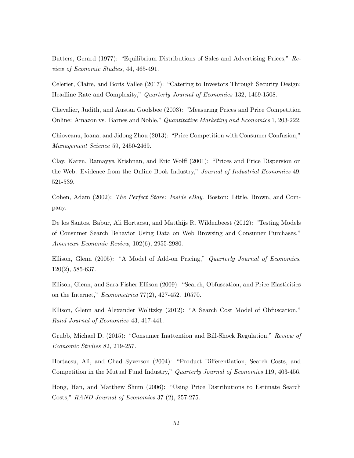Butters, Gerard (1977): "Equilibrium Distributions of Sales and Advertising Prices," Review of Economic Studies, 44, 465-491.

Celerier, Claire, and Boris Vallee (2017): "Catering to Investors Through Security Design: Headline Rate and Complexity," Quarterly Journal of Economics 132, 1469-1508.

Chevalier, Judith, and Austan Goolsbee (2003): "Measuring Prices and Price Competition Online: Amazon vs. Barnes and Noble," *Quantitative Marketing and Economics* 1, 203-222.

Chioveanu, Ioana, and Jidong Zhou (2013): "Price Competition with Consumer Confusion," Management Science 59, 2450-2469.

Clay, Karen, Ramayya Krishnan, and Eric Wolff (2001): "Prices and Price Dispersion on the Web: Evidence from the Online Book Industry," Journal of Industrial Economics 49, 521-539.

Cohen, Adam (2002): The Perfect Store: Inside eBay. Boston: Little, Brown, and Company.

De los Santos, Babur, Ali Hortacsu, and Matthijs R. Wildenbeest (2012): "Testing Models of Consumer Search Behavior Using Data on Web Browsing and Consumer Purchases," American Economic Review, 102(6), 2955-2980.

Ellison, Glenn (2005): "A Model of Add-on Pricing," *Quarterly Journal of Economics*, 120(2), 585-637.

Ellison, Glenn, and Sara Fisher Ellison (2009): "Search, Obfuscation, and Price Elasticities on the Internet," Econometrica 77(2), 427-452. 10570.

Ellison, Glenn and Alexander Wolitzky (2012): "A Search Cost Model of Obfuscation," Rand Journal of Economics 43, 417-441.

Grubb, Michael D. (2015): "Consumer Inattention and Bill-Shock Regulation," Review of Economic Studies 82, 219-257.

Hortacsu, Ali, and Chad Syverson (2004): "Product Differentiation, Search Costs, and Competition in the Mutual Fund Industry," Quarterly Journal of Economics 119, 403-456.

Hong, Han, and Matthew Shum (2006): "Using Price Distributions to Estimate Search Costs," RAND Journal of Economics 37 (2), 257-275.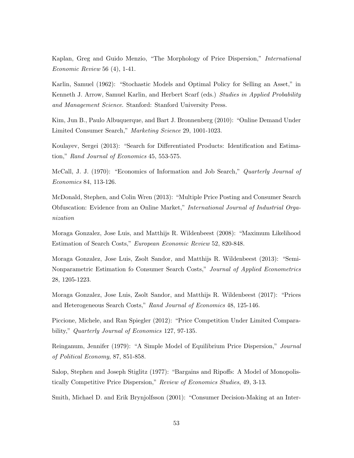Kaplan, Greg and Guido Menzio, "The Morphology of Price Dispersion," International Economic Review 56 (4), 1-41.

Karlin, Samuel (1962): "Stochastic Models and Optimal Policy for Selling an Asset," in Kenneth J. Arrow, Samuel Karlin, and Herbert Scarf (eds.) Studies in Applied Probability and Management Science. Stanford: Stanford University Press.

Kim, Jun B., Paulo Albuquerque, and Bart J. Bronnenberg (2010): "Online Demand Under Limited Consumer Search," Marketing Science 29, 1001-1023.

Koulayev, Sergei (2013): "Search for Differentiated Products: Identification and Estimation," Rand Journal of Economics 45, 553-575.

McCall, J. J. (1970): "Economics of Information and Job Search," Quarterly Journal of Economics 84, 113-126.

McDonald, Stephen, and Colin Wren (2013): "Multiple Price Posting and Consumer Search Obfuscation: Evidence from an Online Market," International Journal of Industrial Organization

Moraga Gonzalez, Jose Luis, and Matthijs R. Wildenbeest (2008): "Maximum Likelihood Estimation of Search Costs," European Economic Review 52, 820-848.

Moraga Gonzalez, Jose Luis, Zsolt Sandor, and Matthijs R. Wildenbeest (2013): "Semi-Nonparametric Estimation fo Consumer Search Costs," Journal of Applied Econometrics 28, 1205-1223.

Moraga Gonzalez, Jose Luis, Zsolt Sandor, and Matthijs R. Wildenbeest (2017): "Prices and Heterogeneous Search Costs," Rand Journal of Economics 48, 125-146.

Piccione, Michele, and Ran Spiegler (2012): "Price Competition Under Limited Comparability," Quarterly Journal of Economics 127, 97-135.

Reinganum, Jennifer (1979): "A Simple Model of Equilibrium Price Dispersion," Journal of Political Economy, 87, 851-858.

Salop, Stephen and Joseph Stiglitz (1977): "Bargains and Ripoffs: A Model of Monopolistically Competitive Price Dispersion," Review of Economics Studies, 49, 3-13.

Smith, Michael D. and Erik Brynjolfsson (2001): "Consumer Decision-Making at an Inter-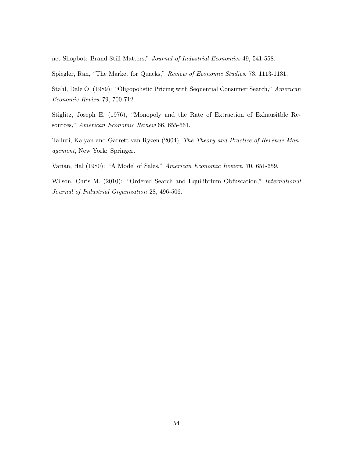net Shopbot: Brand Still Matters," Journal of Industrial Economics 49, 541-558.

Spiegler, Ran, "The Market for Quacks," Review of Economic Studies, 73, 1113-1131.

Stahl, Dale O. (1989): "Oligopolistic Pricing with Sequential Consumer Search," American Economic Review 79, 700-712.

Stiglitz, Joseph E. (1976), "Monopoly and the Rate of Extraction of Exhausitble Resources," American Economic Review 66, 655-661.

Talluri, Kalyan and Garrett van Ryzen (2004), The Theory and Practice of Revenue Management, New York: Springer.

Varian, Hal (1980): "A Model of Sales," American Economic Review, 70, 651-659.

Wilson, Chris M. (2010): "Ordered Search and Equilibrium Obfuscation," International Journal of Industrial Organization 28, 496-506.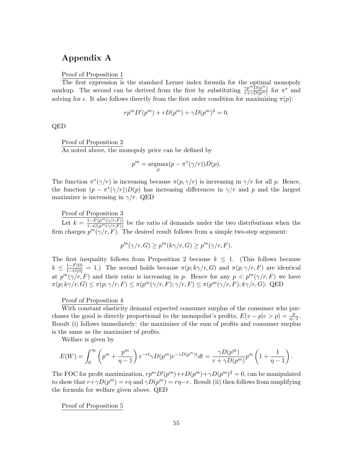# Appendix A

Proof of Proposition 1

The first expression is the standard Lerner index formula for the optimal monopoly markup. The second can be derived from the first by substituting  $\frac{\gamma p^m D(p^m)}{r+\gamma D(p^m)}$  for  $\pi^*$  and solving for  $\epsilon$ . It also follows directly from the first order condition for maximizing  $\pi(p)$ :

$$
rp^m D'(p^m) + r D(p^m) + \gamma D(p^m)^2 = 0.
$$

QED

Proof of Proposition 2

As noted above, the monopoly price can be defined by

$$
p^{m} = \underset{p}{\operatorname{argmax}}(p - \pi^{*}(\gamma/r))D(p).
$$

The function  $\pi^*(\gamma/r)$  is increasing because  $\pi(p, \gamma/r)$  is increasing in  $\gamma/r$  for all p. Hence, the function  $(p - \pi^*(\gamma/r))D(p)$  has increasing differences in  $\gamma/r$  and p and the largest maximizer is increasing in  $\gamma/r$ . QED

Proof of Proposition 3

Let  $k = \frac{1-F(p^m(\gamma/r,F))}{1-G(p^m(\gamma/r,F))}$  be the ratio of demands under the two distributions when the firm charges  $p^m(\gamma/r, F)$ . The desired result follows from a simple two-step argument:

$$
p^{m}(\gamma/r, G) \ge p^{m}(k\gamma/r, G) \ge p^{m}(\gamma/r, F).
$$

The first inequality follows from Proposition 2 because  $k \leq 1$ . (This follows because  $k \leq \frac{1-F(0)}{1-G(0)} = 1.$  The second holds because  $\pi(p; k\gamma/r, G)$  and  $\pi(p; \gamma/r, F)$  are identical at  $p^{m}(\gamma/r, F)$  and their ratio is increasing in p. Hence for any  $p < p^{m}(\gamma/r, F)$  we have  $\pi(p; k\gamma/r, G) \leq \pi(p; \gamma/r, F) \leq \pi(p^m(\gamma/r, F); \gamma/r, F) \leq \pi(p^m(\gamma/r, F); k\gamma/r, G)$ . QED

Proof of Proposition 4

With constant elasticity demand expected consumer surplus of the consumer who purchases the good is directly proportional to the monopolist's profits,  $E(v - p|v > p) = \frac{p}{\eta - 1}$ . Result (i) follows immediately: the maximizer of the sum of profits and consumer surplus is the same as the maximizer of profits.

Welfare is given by

$$
E(W) = \int_0^{\infty} \left( p^m + \frac{p^m}{\eta - 1} \right) e^{-rt} \gamma D(p^m) e^{-\gamma D(p^m)t} dt = \frac{\gamma D(p^m)}{r + \gamma D(p^m)} p^m \left( 1 + \frac{1}{\eta - 1} \right).
$$

The FOC for profit maximization,  $rp^m D'(p^m) + r D(p^m) + \gamma D(p^m)^2 = 0$ , can be manipulated to show that  $r + \gamma D(p^m) = r\eta$  and  $\gamma D(p^m) = r\eta - r$ . Result (ii) then follows from simplifying the formula for welfare given above. QED

Proof of Proposition 5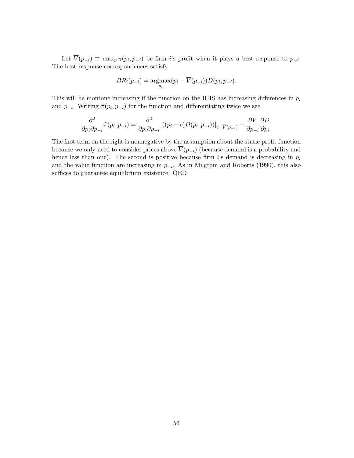Let  $V(p_{-i}) \equiv \max_p \pi(p_i, p_{-i})$  be firm i's profit when it plays a best response to  $p_{-i}$ . The best response correspondences satisfy

$$
BR_i(p_{-i}) = \underset{p_i}{\text{argmax}}(p_i - \overline{V}(p_{-i}))D(p_i, p_{-i}).
$$

This will be montone increasing if the function on the RHS has increasing differences in  $p_i$ and  $p_{-i}$ . Writing  $\tilde{\pi}(p_i, p_{-i})$  for the function and differentiating twice we see

$$
\frac{\partial^2}{\partial p_i \partial p_{-i}} \tilde{\pi}(p_i, p_{-i}) = \frac{\partial^2}{\partial p_i \partial p_{-i}} ((p_i - c)D(p_i, p_{-i}))|_{c = \overline{V}(p_{-i})} - \frac{\partial \overline{V}}{\partial p_{-i}} \frac{\partial D}{\partial p_i}.
$$

The first term on the right is nonnegative by the assumption about the static profit function because we only need to consider prices above  $\overline{V}(p_{-i})$  (because demand is a probability and hence less than one). The second is positive because firm is demand is decreasing in  $p_i$ and the value function are increasing in  $p_{-i}$ . As in Milgrom and Roberts (1990), this also suffices to guarantee equilibrium existence. QED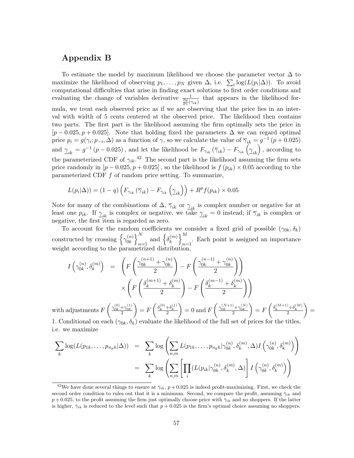# Appendix B

To estimate the model by maximum likelihood we choose the parameter vector  $\Delta$  to maximize the likelihood of observing  $p_1, \ldots, p_N$  given  $\Delta$ , i.e.  $\sum_i \log(L(p_i|\Delta))$ . To avoid computational difficulties that arise in finding exact solutions to first order conditions and evaluating the change of variables derivative  $\frac{1}{\frac{\partial g}{\partial \gamma}(\gamma_{ik})}$  that appears in the likelihood formula, we treat each observed price as if we are observing that the price lies in an interval with width of 5 cents centered at the observed price. The likelihood then contains two parts. The first part is the likelihood assuming the firm optimally sets the price in  $[p - 0.025, p + 0.025]$ . Note that holding fixed the parameters  $\Delta$  we can regard optimal price  $p_i = g(\gamma_i; p_{-i}, \Delta)$  as a function of  $\gamma$ , so we calculate the value of  $\overline{\gamma}_{ik} = g^{-1}(p + 0.025)$ and  $\gamma_{ik} = g^{-1}(p-0.025)$ , and let the likelihood be  $F_{\gamma_{ik}}(\overline{\gamma}_{ik}) - F_{\gamma_{ik}}(\gamma_{ik})$ , according to the parameterized CDF of  $\gamma_{ik}$ <sup>42</sup> The second part is the likelihood assuming the firm sets price randomly in  $[p - 0.025, p + 0.025]$ , so the likelihood is  $f(p_{ik}) \times 0.05$  according to the parameterized CDF  $f$  of random price setting. To summarize,

$$
L(p_i|\Delta)) = (1-q)\left(F_{\gamma_{ik}}\left(\overline{\gamma}_{ik}\right) - F_{\gamma_{ik}}\left(\underline{\gamma}_{ik}\right)\right) + R^p f(p_{ik}) \times 0.05
$$

Note for many of the combinations of  $\Delta$ ,  $\overline{\gamma}_{ik}$  or  $\gamma_{ik}$  is complex number or negative for at least one  $p_{ik}$ . If  $\gamma_{ik}$  is complex or negative, we take  $\gamma_{ik} = 0$  instead; if  $\overline{\gamma}_{ik}$  is complex or negative, the first item is regarded as zero.

To account for the random coefficients we consider a fixed grid of possible  $(\gamma_{0k}, \delta_k)$ constructed by crossing  $\{\gamma_{0k}^{(n)}\}$  $\begin{pmatrix} n \\ 0k \end{pmatrix}$  $\sum_{n=1}^{N}$  and  $\left\{\delta_k^{(m)}\right\}$  $\binom{m}{k}$  $n=1$ . Each point is assigned an importance weight according to the parametrized distribution

$$
I\left(\gamma_{0k}^{(n)}, \delta_k^{(m)}\right) = \left(F\left(\frac{\gamma_{0k}^{(n+1)} + \gamma_{0k}^{(n)}}{2}\right) - F\left(\frac{\gamma_{0k}^{(n-1)} + \gamma_{0k}^{(n)}}{2}\right)\right)
$$

$$
\times \left(F\left(\frac{\delta_k^{(m+1)} + \delta_k^{(m)}}{2}\right) - F\left(\frac{\delta_k^{(m-1)} + \delta_k^{(m)}}{2}\right)\right)
$$
adiustments  $F\left(\frac{\gamma_{0k}^{(0)} + \gamma_{0k}^{(1)}}{2}\right) = F\left(\frac{\delta_k^{(0)} + \delta_k^{(1)}}{2}\right) = 0$  and  $F\left(\frac{\gamma_{0k}^{(N+1)} + \gamma_{0k}^{(N)}}{2}\right) = F\left(\frac{\delta_k^{(M+1)} + \delta_k^{(M)}}{2}\right) = 0$ 

with adjustments  $F\left(\frac{\gamma_{0k}^{(0)}+\gamma_{0k}^{(1)}}{2}\right)$  $= F\left(\frac{\delta_k^{(0)} + \delta_k^{(0)}}{2}\right)$  $= 0$  and  $F\left(\frac{\gamma_{0k}^{(N+1)} + \gamma_{0k}^{(N)}}{2}\right)$  $= F\left(\frac{\delta_k^{(M+1)} + \delta_k^{(M+1)}}{2}\right)$ = 1. Conditional on each  $(\gamma_{0k}, \delta_k)$  evaluate the likelihood of the full set of prices for the titles, i.e. we maximize

$$
\sum_{k} \log(L(p_{1k}, \dots, p_{n_k k} | \Delta)) = \sum_{k} \log \left( \sum_{n,m} L(p_{1k}, \dots, p_{n_k k} | \gamma_{0k}^{(n)}, \delta_k^{(m)}, \Delta) I \left( \gamma_{0k}^{(n)}, \delta_k^{(m)} \right) \right)
$$

$$
= \sum_{k} \log \left( \sum_{n,m} \left[ \prod_{i} (L(p_{ik} | \gamma_{0k}^{(n)}, \delta_k^{(m)}, \Delta)) \right] I \left( \gamma_{0k}^{(n)}, \delta_k^{(m)} \right) \right)
$$

<sup>&</sup>lt;sup>42</sup>We have done several things to ensure at  $\bar{\gamma}_{ik}$ , p + 0.025 is indeed profit-maximizing. First, we check the second order condition to rules out that it is a minimum. Second, we compare the profit, assuming  $\bar{\gamma}_{ik}$  and  $p+0.025$ , to the profit assuming the firm just optimally choose price with  $\bar{\gamma}_{ik}$  and no shoppers. If the latter is higher,  $\bar{\gamma}_{ik}$  is reduced to the level such that  $p + 0.025$  is the firm's optimal choice assuming no shoppers.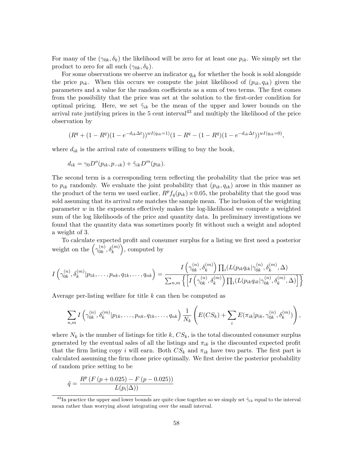For many of the  $(\gamma_{0k}, \delta_k)$  the likelihood will be zero for at least one  $p_{ik}$ . We simply set the product to zero for all such  $(\gamma_{0k}, \delta_k)$ .

For some observations we observe an indicator  $q_{ik}$  for whether the book is sold alongside the price  $p_{ik}$ . When this occurs we compute the joint likelihood of  $(p_{ik}, q_{ik})$  given the parameters and a value for the random coefficients as a sum of two terms. The first comes from the possibility that the price was set at the solution to the first-order condition for optimal pricing. Here, we set  $\tilde{\gamma}_{ik}$  be the mean of the upper and lower bounds on the arrival rate justifying prices in the  $5$  cent interval<sup> $43$ </sup> and multiply the likelihood of the price observation by

$$
(R^{q} + (1 - R^{q})(1 - e^{-d_{ik}\Delta t}))^{wI(q_{ik}=1)}(1 - R^{q} - (1 - R^{q})(1 - e^{-d_{ik}\Delta t}))^{wI(q_{ik}=0)},
$$

where  $d_{ik}$  is the arrival rate of consumers willing to buy the book,

$$
d_{ik} = \gamma_0 D^o(p_{ik}, p_{-ik}) + \tilde{\gamma}_{ik} D^m(p_{ik}).
$$

The second term is a corresponding term reflecting the probability that the price was set to  $p_{ik}$  randomly. We evaluate the joint probability that  $(p_{ik}, q_{ik})$  arose in this manner as the product of the term we used earlier,  $R^p f_q(p_{ik}) \times 0.05$ , the probability that the good was sold assuming that its arrival rate matches the sample mean. The inclusion of the weighting parameter  $w$  in the exponents effectively makes the log-likelihood we compute a weighted sum of the log likelihoods of the price and quantity data. In preliminary investigations we found that the quantity data was sometimes poorly fit without such a weight and adopted a weight of 3.

To calculate expected profit and consumer surplus for a listing we first need a posterior weight on the  $\gamma_{0k}^{(n)}$  $\binom{n}{0k}, \delta_k^{(m)}$ , computed by

$$
I\left(\gamma_{0k}^{(n)},\delta_k^{(m)}|p_{1k},\ldots,p_{nk},q_{1k},\ldots,q_{nk}\right)=\frac{I\left(\gamma_{0k}^{(n)},\delta_k^{(m)}\right)\prod_i(L(p_{ik}q_{ik}|\gamma_{0k}^{(n)},\delta_k^{(m)},\Delta)}{\sum_{n,m}\left\{\left[I\left(\gamma_{0k}^{(n)},\delta_k^{(m)}\right)\prod_i(L(p_{ik}q_{ik}|\gamma_{0k}^{(n)},\delta_k^{(m)},\Delta)\right]\right\}}
$$

Average per-listing welfare for title k can then be computed as

$$
\sum_{n,m} I\left(\gamma_{0k}^{(n)}, \delta_k^{(m)} | p_{1k}, \ldots, p_{nk}, q_{1k}, \ldots, q_{nk}\right) \frac{1}{N_k} \left( E(CS_k) + \sum_i E(\pi_{ik} | p_{ik}, \gamma_{0k}^{(n)}, \delta_k^{(m)}) \right),
$$

where  $N_k$  is the number of listings for title k,  $CS_k$ , is the total discounted consumer surplus generated by the eventual sales of all the listings and  $\pi_{ik}$  is the discounted expected profit that the firm listing copy i will earn. Both  $CS_k$  and  $\pi_{ik}$  have two parts. The first part is calculated assuming the firm chose price optimally. We first derive the posterior probability of random price setting to be

$$
\tilde{q} = \frac{R^p (F (p + 0.025) - F (p - 0.025))}{L(p_i | \Delta))}
$$

<sup>&</sup>lt;sup>43</sup>In practice the upper and lower bounds are quite close together so we simply set  $\tilde{\gamma}_{ik}$  equal to the interval mean rather than worrying about integrating over the small interval.